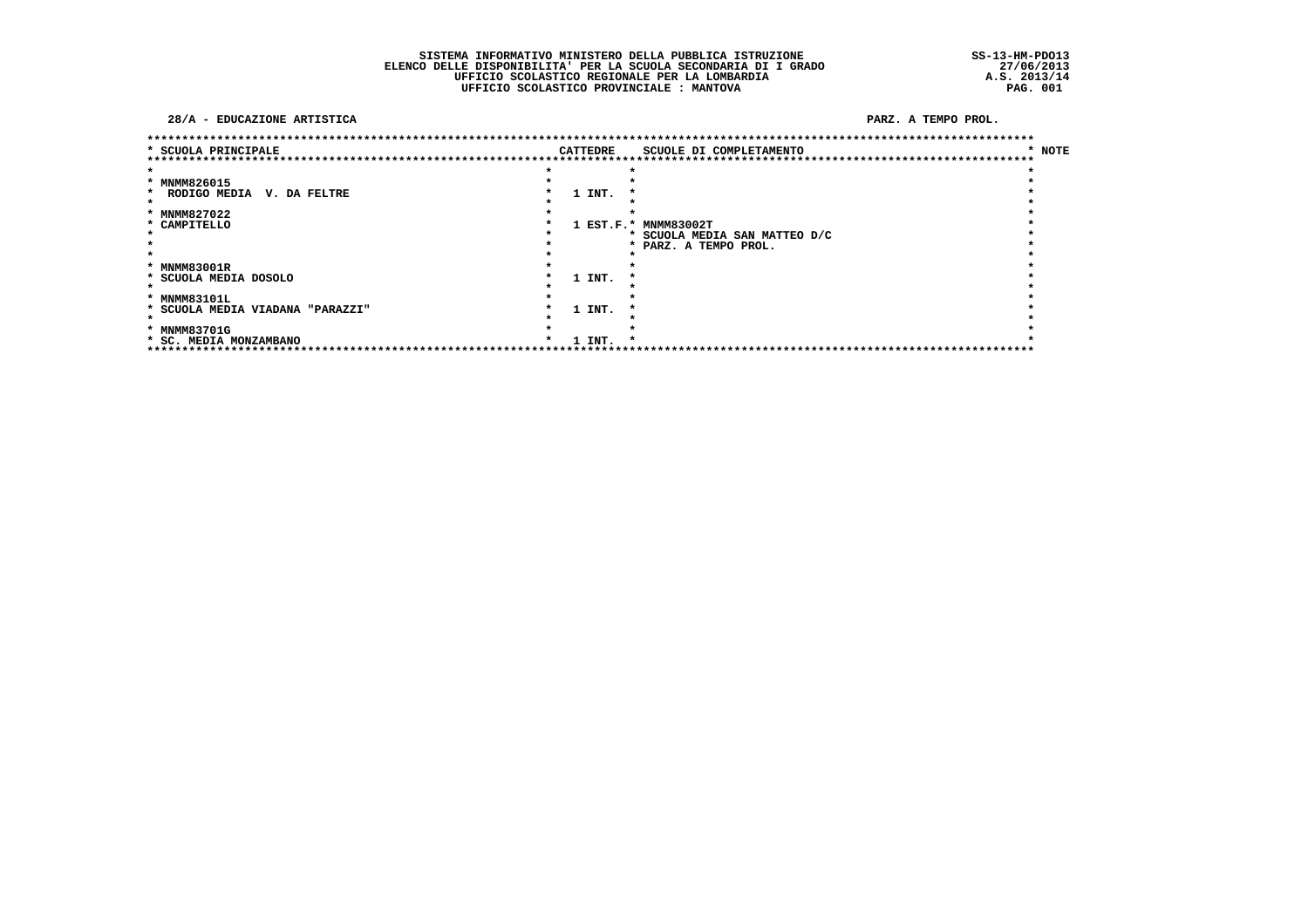SISTEMA INFORMATIVO MINISTERO DELLA PUBBLICA ISTRUZIONE<br>ELENCO DELLE DISPONIBILITA' PER LA SCUOLA SECONDARIA DI I GRADO<br>UFFICIO SCOLASTICO REGIONALE PER LA LOMBARDIA<br>UFFICIO SCOLASTICO PROVINCIALE : MANTOVA

SS-13-HM-PDO13<br>27/06/2013<br>A.S. 2013/14<br>PAG. 001

#### 28/A - EDUCAZIONE ARTISTICA

| * SCUOLA PRINCIPALE                     |         | <b>CATTEDRE</b> | SCUOLE DI COMPLETAMENTO       | * NOTE |
|-----------------------------------------|---------|-----------------|-------------------------------|--------|
|                                         |         |                 |                               |        |
| * MNMM826015                            |         |                 |                               |        |
| RODIGO MEDIA<br>V. DA FELTRE<br>$\star$ |         | 1 INT.          |                               |        |
|                                         |         |                 |                               |        |
| * MNMM827022                            |         |                 |                               |        |
| * CAMPITELLO                            |         |                 | 1 EST.F.* MNMM83002T          |        |
|                                         |         |                 | * SCUOLA MEDIA SAN MATTEO D/C |        |
|                                         |         |                 | * PARZ. A TEMPO PROL.         |        |
|                                         |         |                 |                               |        |
| * MNMM83001R                            |         |                 |                               |        |
| * SCUOLA MEDIA DOSOLO                   |         | 1 INT.          |                               |        |
|                                         |         |                 |                               |        |
| * MNMM83101L                            |         |                 |                               |        |
| * SCUOLA MEDIA VIADANA "PARAZZI"        |         | 1 INT.          |                               |        |
|                                         |         |                 |                               |        |
| * MNMM83701G                            |         |                 |                               |        |
| * SC. MEDIA MONZAMBANO                  | $\star$ | 1 INT.          |                               |        |
|                                         |         |                 |                               |        |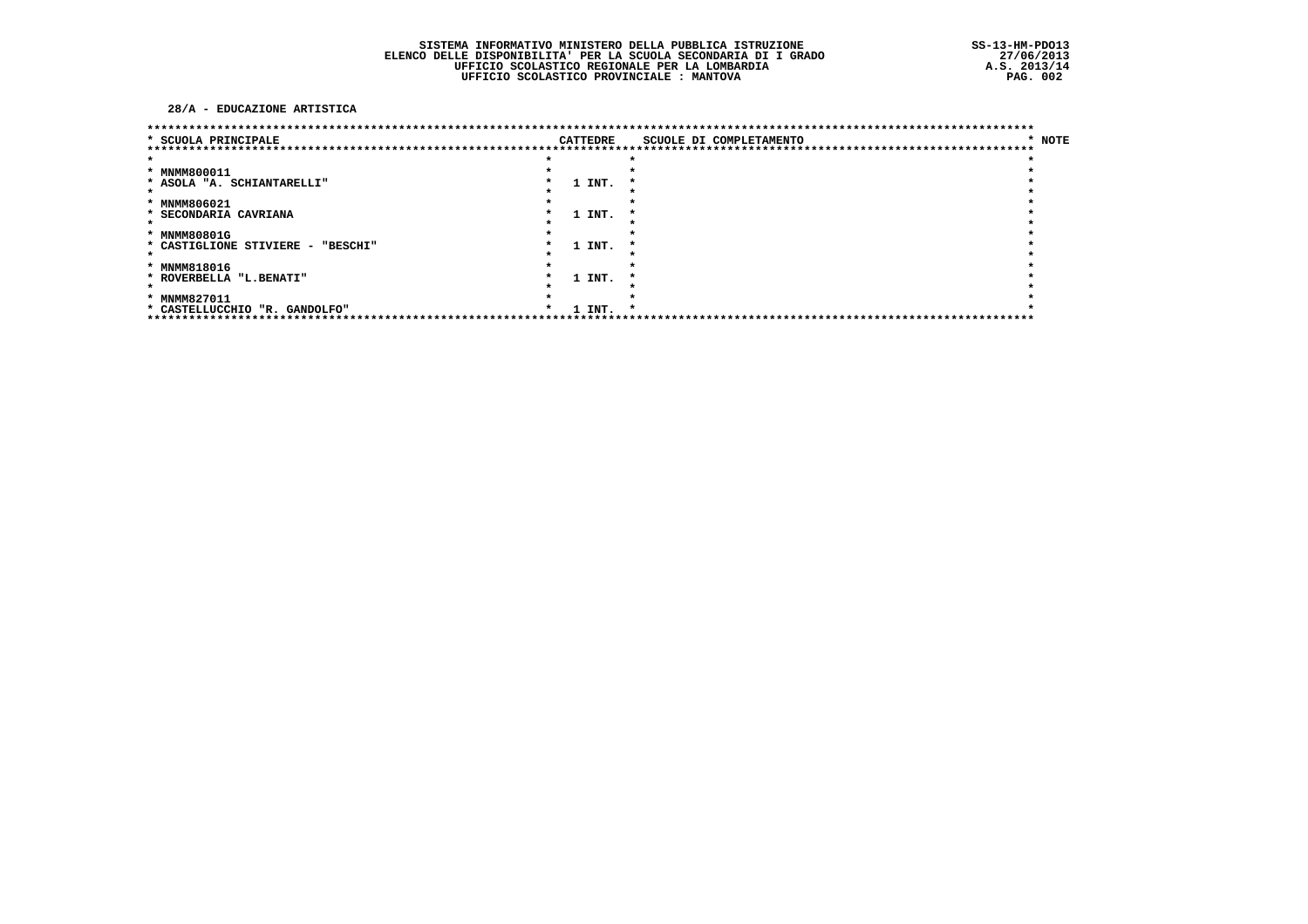#### 28/A - EDUCAZIONE ARTISTICA

|                                   |  |          | ************************************                    |        |
|-----------------------------------|--|----------|---------------------------------------------------------|--------|
| * SCUOLA PRINCIPALE               |  | CATTEDRE | SCUOLE DI COMPLETAMENTO<br>**************************** | * NOTE |
|                                   |  |          |                                                         |        |
| * MNMM800011                      |  |          |                                                         |        |
| * ASOLA "A. SCHIANTARELLI"        |  | 1 INT.   |                                                         |        |
|                                   |  |          |                                                         |        |
| * MNMM806021                      |  |          |                                                         |        |
| * SECONDARIA CAVRIANA             |  | 1 INT.   |                                                         |        |
|                                   |  |          |                                                         |        |
| * MNMM80801G                      |  |          |                                                         |        |
| * CASTIGLIONE STIVIERE - "BESCHI" |  | 1 INT.   |                                                         |        |
|                                   |  |          |                                                         |        |
| * MNMM818016                      |  |          |                                                         |        |
| * ROVERBELLA "L.BENATI"           |  | 1 INT.   |                                                         |        |
|                                   |  |          |                                                         |        |
| * MNMM827011                      |  |          |                                                         |        |
| * CASTELLUCCHIO "R. GANDOLFO"     |  | 1 INT.   |                                                         |        |
|                                   |  |          |                                                         |        |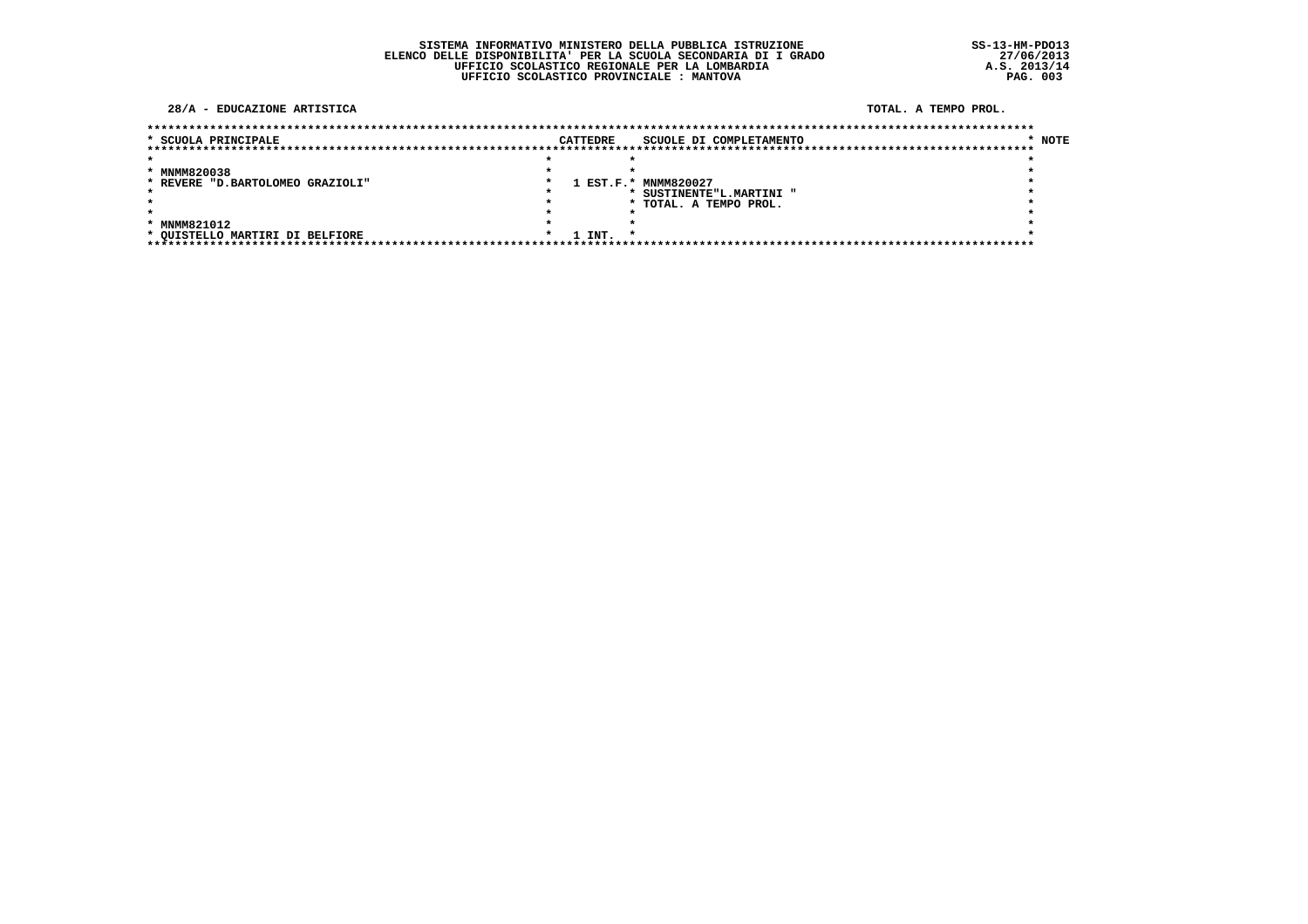#### 28/A - EDUCAZIONE ARTISTICA

TOTAL, A TEMPO PROL.

| * SCUOLA PRINCIPALE              |  | <b>CATTEDRE</b> | SCUOLE DI COMPLETAMENTO  | * NOTE |
|----------------------------------|--|-----------------|--------------------------|--------|
|                                  |  |                 |                          |        |
|                                  |  |                 |                          |        |
| * MNMM820038                     |  |                 |                          |        |
| * REVERE "D.BARTOLOMEO GRAZIOLI" |  |                 | 1 EST.F.* MNMM820027     |        |
|                                  |  |                 | * SUSTINENTE"L.MARTINI " |        |
|                                  |  |                 | * TOTAL. A TEMPO PROL.   |        |
|                                  |  |                 |                          |        |
| * MNMM821012                     |  |                 |                          |        |
| * OUISTELLO MARTIRI DI BELFIORE  |  | 1 INT.          |                          |        |
|                                  |  |                 |                          |        |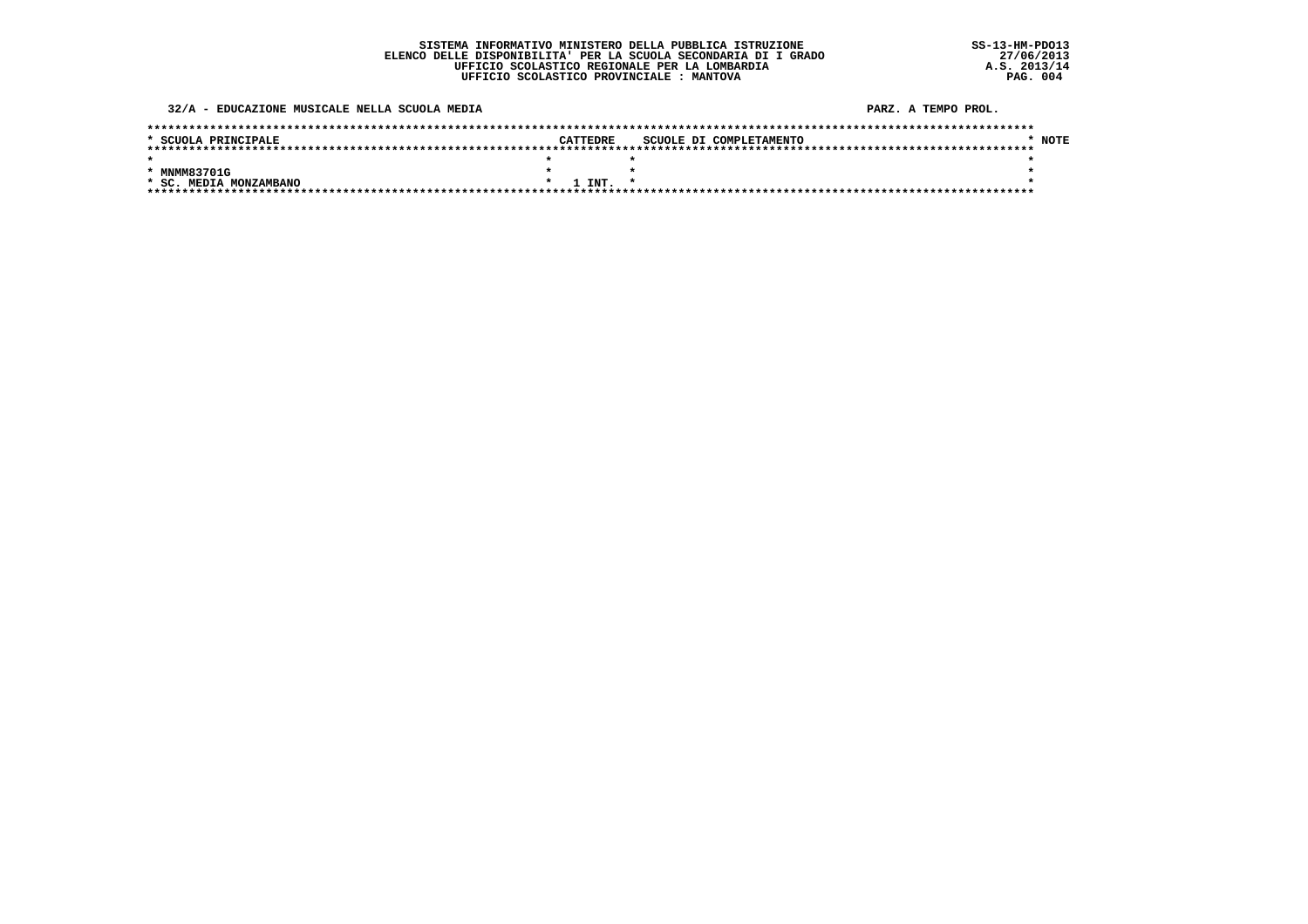32/A - EDUCAZIONE MUSICALE NELLA SCUOLA MEDIA

| * SCUOLA PRINCIPALE    | CATTEDRE        | SCUOLE DI COMPLETAMENTO | <b>NOTE</b> |
|------------------------|-----------------|-------------------------|-------------|
|                        |                 |                         |             |
|                        |                 |                         |             |
| * MNMM83701G           |                 |                         |             |
| * SC. MEDIA MONZAMBANO | $1$ TNT $\star$ |                         |             |
|                        |                 |                         |             |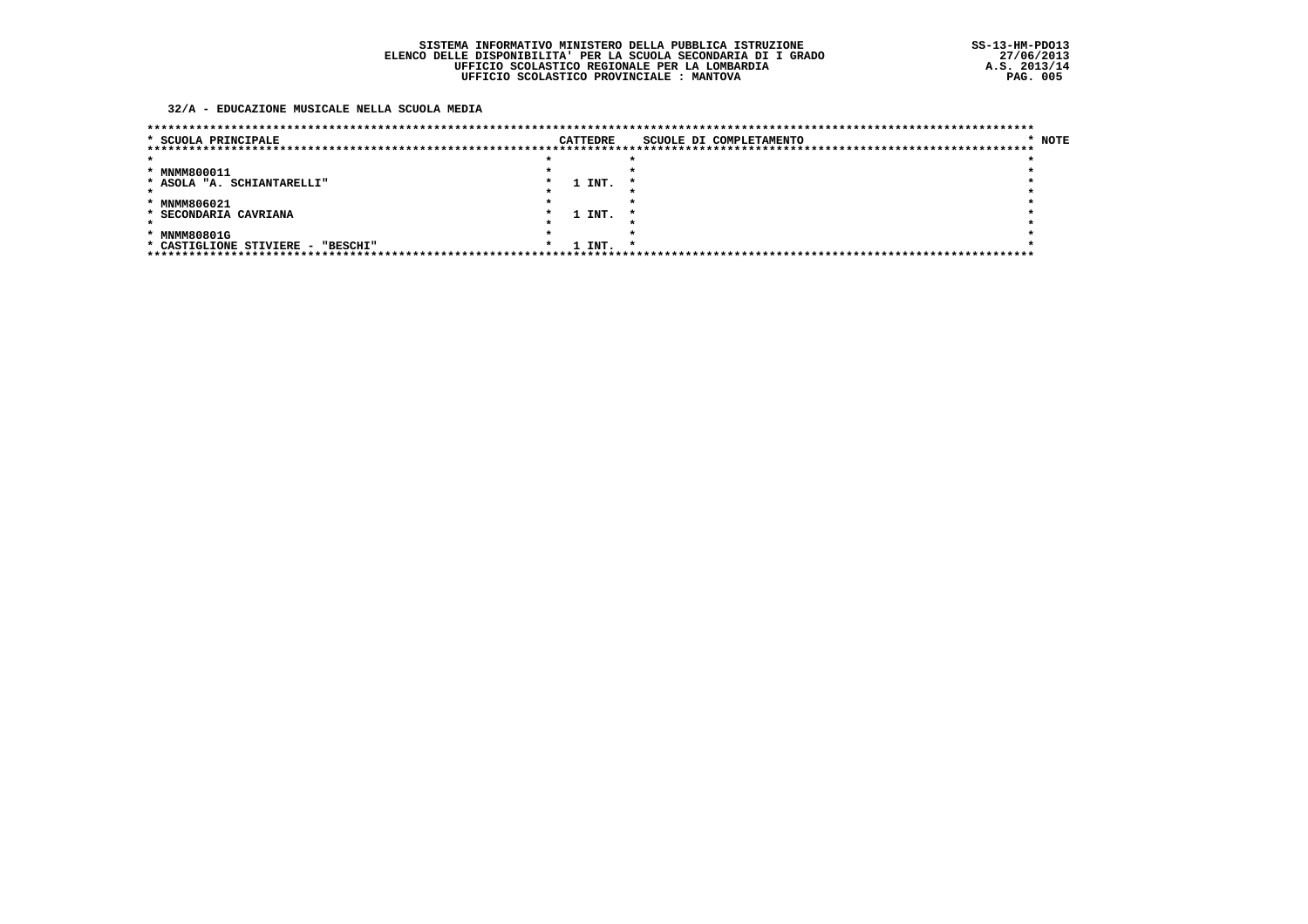### 32/A - EDUCAZIONE MUSICALE NELLA SCUOLA MEDIA

| * SCUOLA PRINCIPALE               |  | <b>CATTEDRE</b> |     | SCUOLE DI COMPLETAMENTO | * NOTE |
|-----------------------------------|--|-----------------|-----|-------------------------|--------|
|                                   |  |                 |     |                         |        |
|                                   |  |                 |     |                         |        |
| * MNMM800011                      |  |                 |     |                         |        |
| * ASOLA "A. SCHIANTARELLI"        |  | 1 INT.          |     |                         |        |
|                                   |  |                 |     |                         |        |
| * MNMM806021                      |  |                 |     |                         |        |
| * SECONDARIA CAVRIANA             |  | 1 INT.          |     |                         |        |
|                                   |  |                 |     |                         |        |
| * MNMM80801G                      |  |                 |     |                         |        |
| * CASTIGLIONE STIVIERE - "BESCHI" |  | 1 INT.          | - * |                         |        |
|                                   |  |                 |     |                         |        |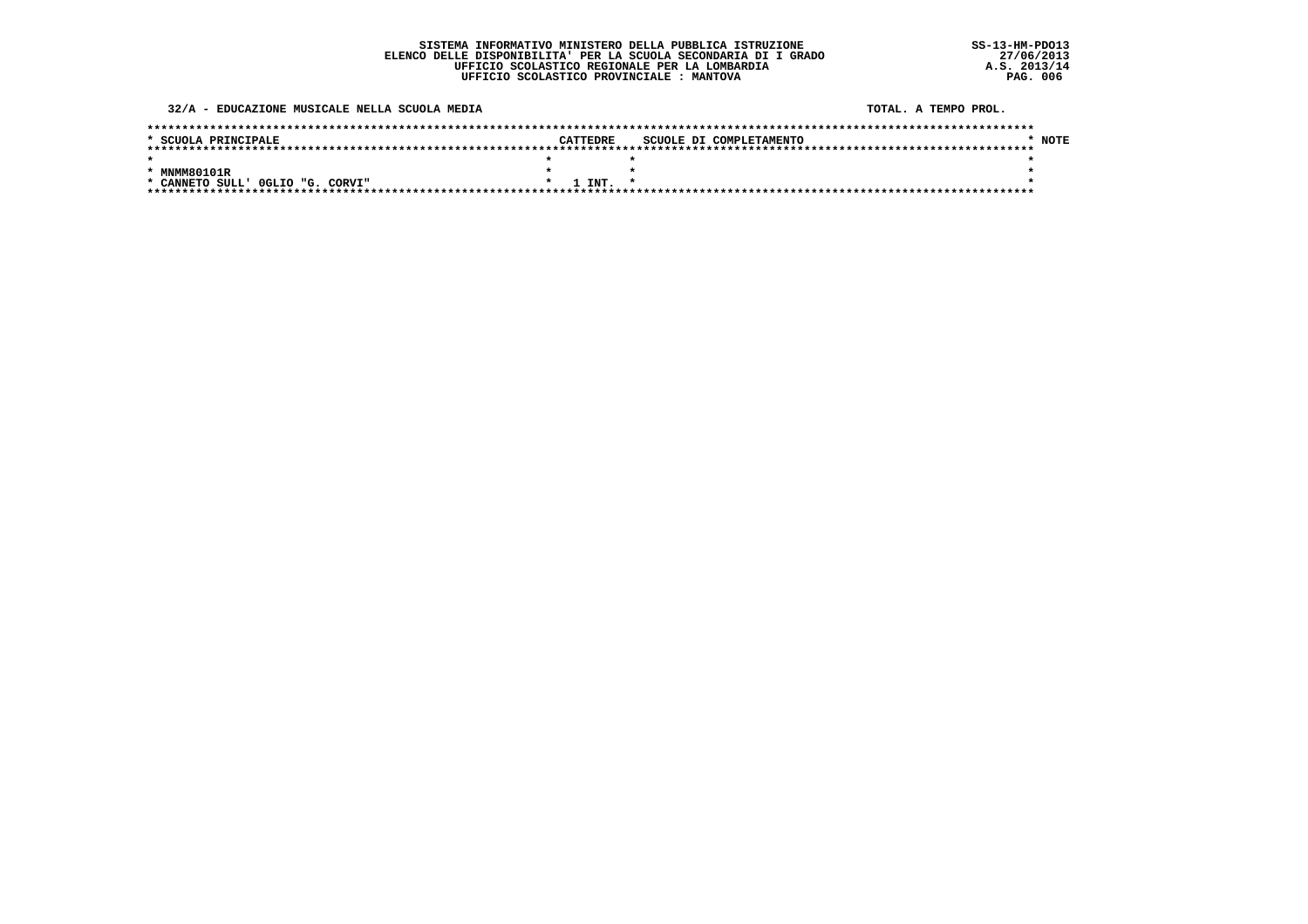32/A - EDUCAZIONE MUSICALE NELLA SCUOLA MEDIA

TOTAL, A TEMPO PROL.

| * SCUOLA PRINCIPALE              | CATTEDRE     | SCUOLE DI COMPLETAMENTO | <b>NOTE</b> |
|----------------------------------|--------------|-------------------------|-------------|
|                                  |              |                         |             |
|                                  |              |                         |             |
| * MNMM80101R                     |              |                         |             |
| * CANNETO SULL' OGLIO "G. CORVI" | $1$ TNT. $*$ |                         |             |
|                                  |              |                         |             |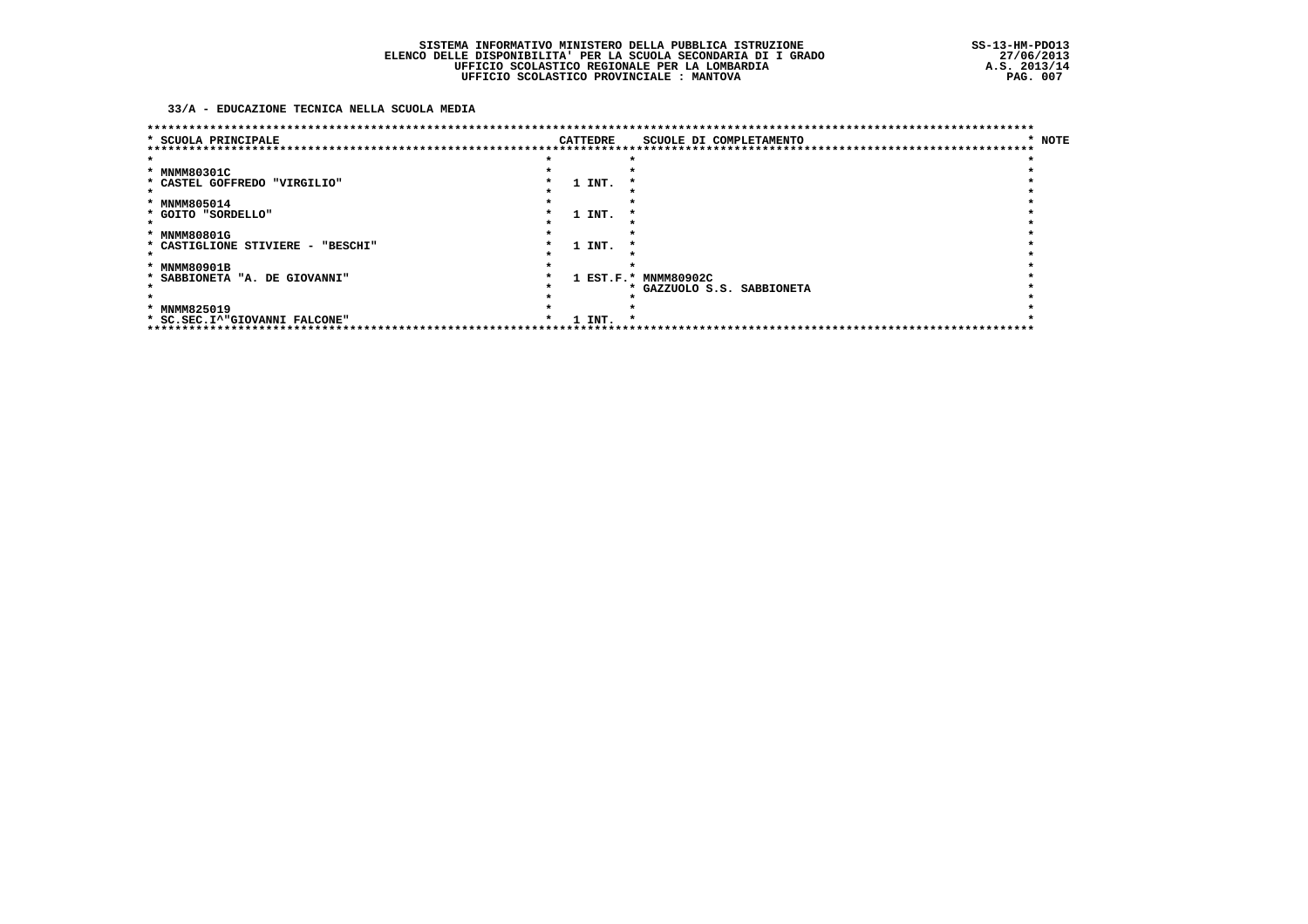### 33/A - EDUCAZIONE TECNICA NELLA SCUOLA MEDIA

| ******************<br>* SCUOLA PRINCIPALE |         | <b>CATTEDRE</b> | SCUOLE DI COMPLETAMENTO    | * NOTE |
|-------------------------------------------|---------|-----------------|----------------------------|--------|
|                                           |         |                 |                            |        |
| * MNMM80301C                              |         |                 |                            |        |
| * CASTEL GOFFREDO "VIRGILIO"              |         | 1 INT.          |                            |        |
|                                           |         |                 |                            |        |
| * MNMM805014                              |         |                 |                            |        |
| * GOITO "SORDELLO"                        |         | 1 INT.          |                            |        |
|                                           |         |                 |                            |        |
| * MNMM80801G                              |         |                 |                            |        |
| * CASTIGLIONE STIVIERE - "BESCHI"         |         | 1 INT.          |                            |        |
|                                           |         |                 |                            |        |
| * MNMM80901B                              |         |                 |                            |        |
| * SABBIONETA "A. DE GIOVANNI"             |         |                 | 1 EST.F.* MNMM80902C       |        |
|                                           |         |                 | * GAZZUOLO S.S. SABBIONETA |        |
|                                           |         |                 |                            |        |
| * MNMM825019                              |         |                 |                            |        |
| * SC.SEC.I^"GIOVANNI FALCONE"             | $\cdot$ | 1 INT.          | -14                        |        |
| *******************                       |         |                 |                            |        |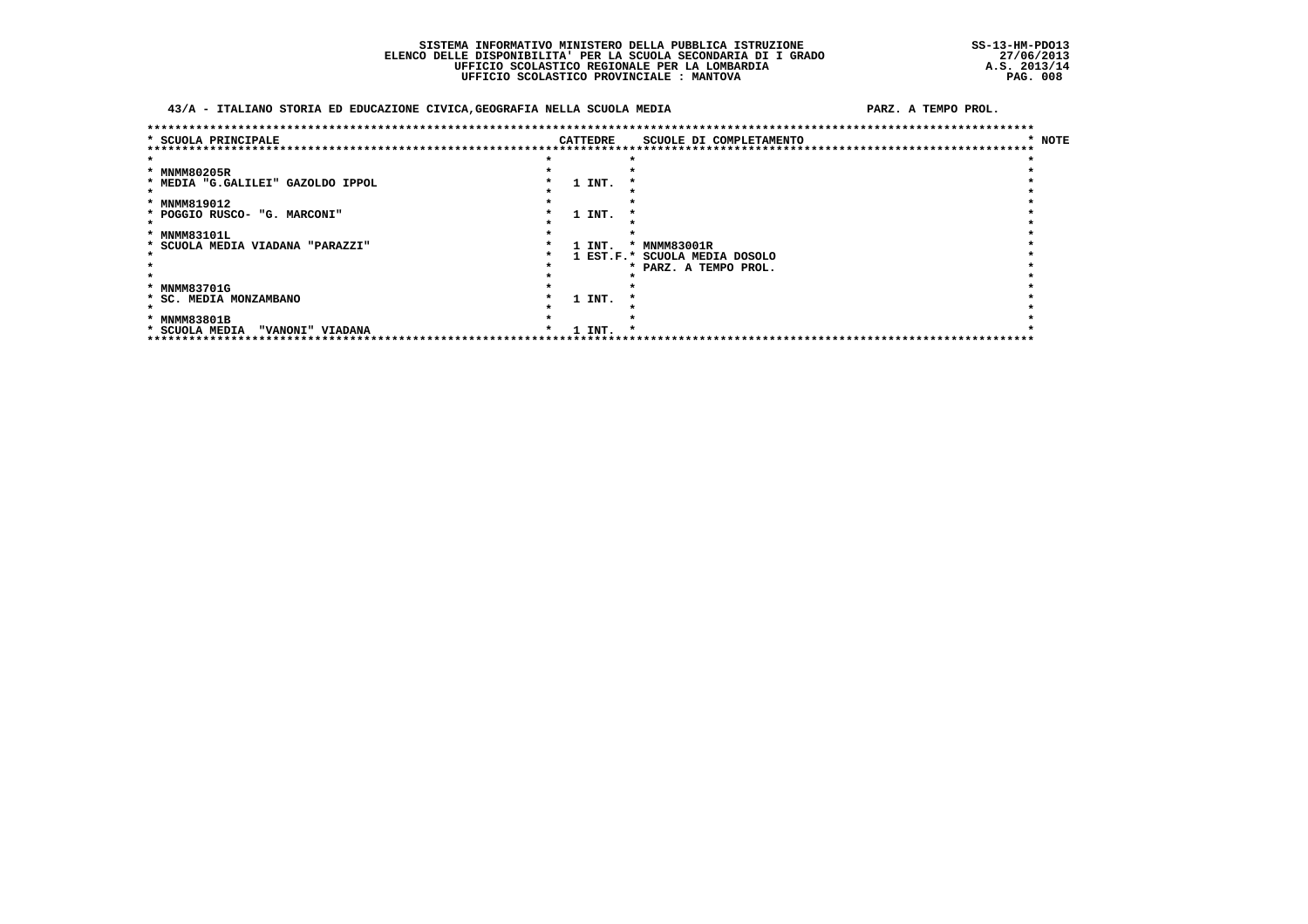### SISTEMA INFORMATIVO MINISTERO DELLA PUBBLICA ISTRUZIONE ELENCO DELLE DISPONIBILITA' PER LA SCUOLA SECONDARIA DI I GRADO<br>UFFICIO SCOLASTICO REGIONALE PER LA LOMBARDIA UFFICIO SCOLASTICO PROVINCIALE : MANTOVA

### 43/A - ITALIANO STORIA ED EDUCAZIONE CIVICA, GEOGRAFIA NELLA SCUOLA MEDIA

|                                    |          | *********************************** |        |
|------------------------------------|----------|-------------------------------------|--------|
| * SCUOLA PRINCIPALE                | CATTEDRE | SCUOLE DI COMPLETAMENTO             | * NOTE |
| ****************************       |          | **********************************  |        |
|                                    |          |                                     |        |
| * MNMM80205R                       |          |                                     |        |
| * MEDIA "G.GALILEI" GAZOLDO IPPOL  | 1 INT.   |                                     |        |
|                                    |          |                                     |        |
| * MNMM819012                       |          |                                     |        |
| * POGGIO RUSCO- "G. MARCONI"       | 1 INT.   |                                     |        |
|                                    |          |                                     |        |
| * MNMM83101L                       |          |                                     |        |
| * SCUOLA MEDIA VIADANA "PARAZZI"   | 1 INT.   | * MNMM83001R                        |        |
|                                    |          | 1 EST.F.* SCUOLA MEDIA DOSOLO       |        |
|                                    |          | * PARZ. A TEMPO PROL.               |        |
|                                    |          |                                     |        |
| * MNMM83701G                       |          |                                     |        |
| * SC. MEDIA MONZAMBANO             | 1 INT.   |                                     |        |
|                                    |          |                                     |        |
| * MNMM83801B                       |          |                                     |        |
| * SCUOLA MEDIA<br>"VANONI" VIADANA | 1 INT.   |                                     |        |
| *****************************      |          |                                     |        |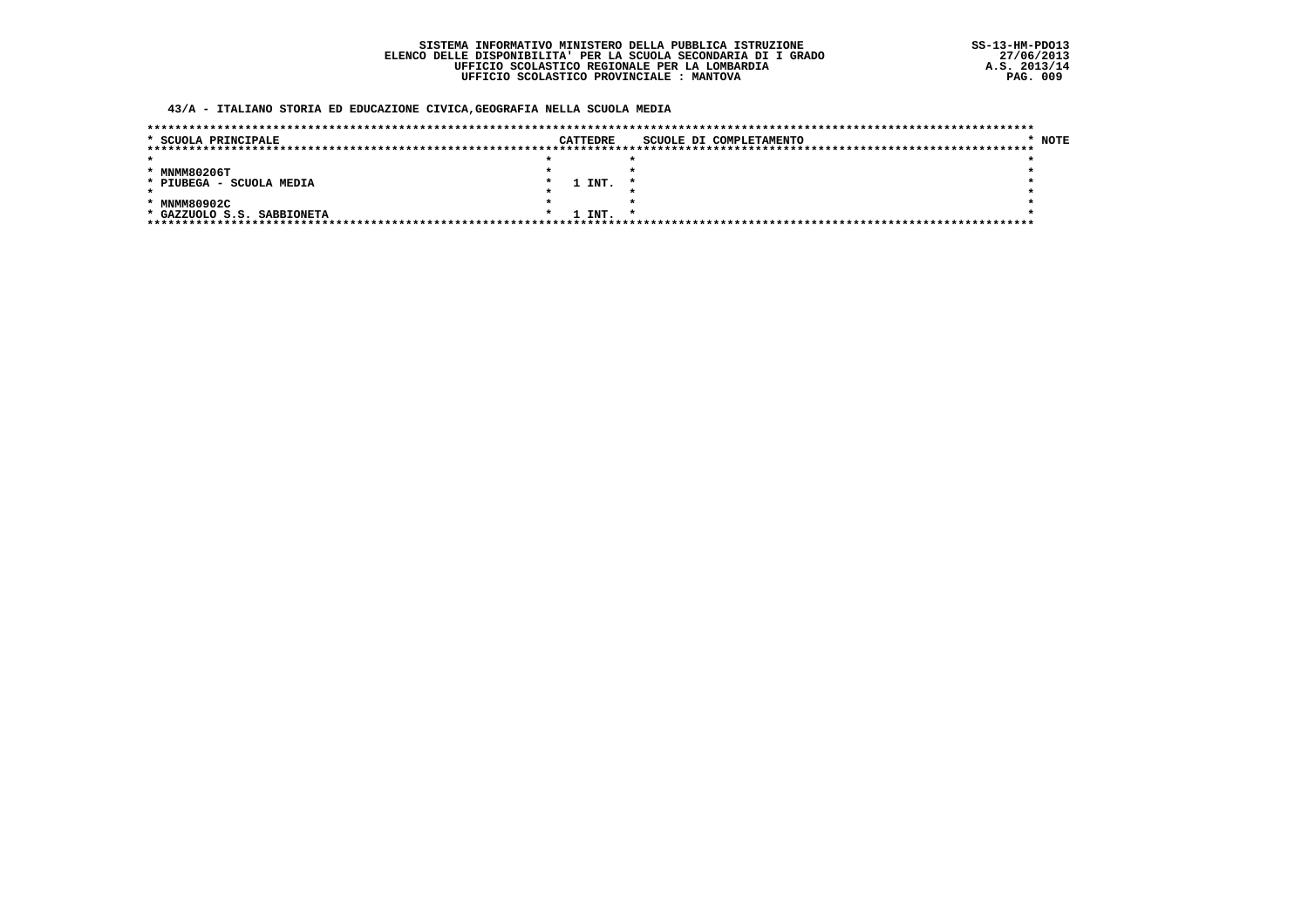### 43/A - ITALIANO STORIA ED EDUCAZIONE CIVICA, GEOGRAFIA NELLA SCUOLA MEDIA

| * SCUOLA PRINCIPALE        |  | <b>CATTEDRE</b> | SCUOLE DI COMPLETAMENTO | * NOTE |
|----------------------------|--|-----------------|-------------------------|--------|
|                            |  |                 |                         |        |
|                            |  |                 |                         |        |
| * MNMM80206T               |  |                 |                         |        |
| * PIUBEGA - SCUOLA MEDIA   |  | 1 INT.          |                         |        |
|                            |  |                 |                         |        |
| * MNMM80902C               |  |                 |                         |        |
| * GAZZUOLO S.S. SABBIONETA |  | 1 INT.          |                         |        |
|                            |  |                 |                         |        |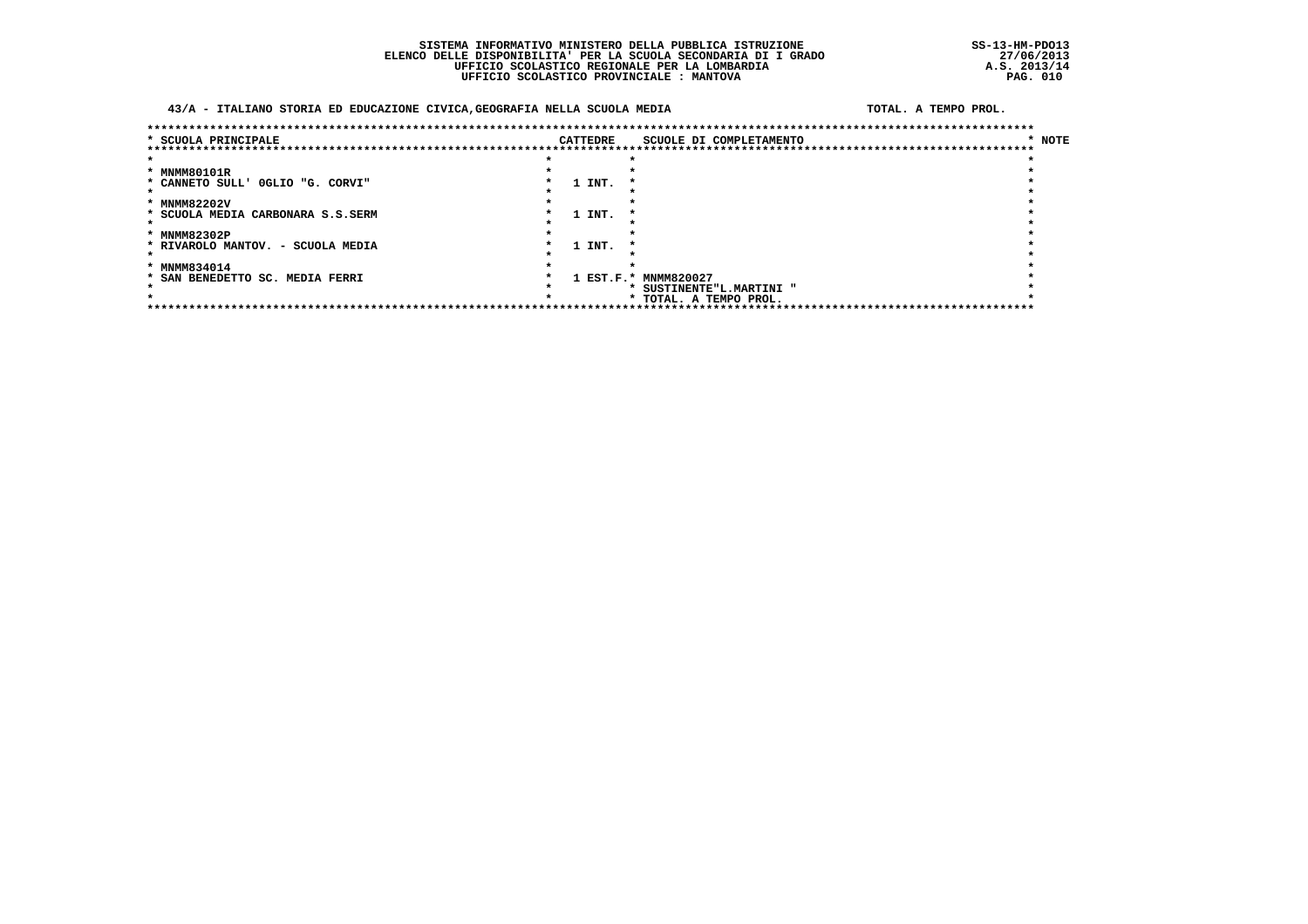### SISTEMA INFORMATIVO MINISTERO DELLA PUBBLICA ISTRUZIONE ELENCO DELLE DISPONIBILITA' PER LA SCUOLA SECONDARIA DI I GRADO<br>UFFICIO SCOLASTICO REGIONALE PER LA LOMBARDIA UFFICIO SCOLASTICO PROVINCIALE : MANTOVA

### 43/A - ITALIANO STORIA ED EDUCAZIONE CIVICA, GEOGRAFIA NELLA SCUOLA MEDIA

TOTAL, A TEMPO PROL.

| * SCUOLA PRINCIPALE               |  |        | <b>CATTEDRE</b> |                      | SCUOLE DI COMPLETAMENTO<br>*********************************** | * NOTE |
|-----------------------------------|--|--------|-----------------|----------------------|----------------------------------------------------------------|--------|
|                                   |  |        |                 |                      |                                                                |        |
|                                   |  |        |                 |                      |                                                                |        |
| * MNMM80101R                      |  |        |                 |                      |                                                                |        |
| * CANNETO SULL' OGLIO "G. CORVI"  |  | 1 INT. |                 |                      |                                                                |        |
|                                   |  |        |                 |                      |                                                                |        |
| * MNMM82202V                      |  |        |                 |                      |                                                                |        |
| * SCUOLA MEDIA CARBONARA S.S.SERM |  | 1 INT. |                 |                      |                                                                |        |
|                                   |  |        |                 |                      |                                                                |        |
| * MNMM82302P                      |  |        |                 |                      |                                                                |        |
| * RIVAROLO MANTOV. - SCUOLA MEDIA |  | 1 INT. |                 |                      |                                                                |        |
|                                   |  |        |                 |                      |                                                                |        |
| * MNMM834014                      |  |        |                 |                      |                                                                |        |
| * SAN BENEDETTO SC. MEDIA FERRI   |  |        |                 | 1 EST.F.* MNMM820027 |                                                                |        |
|                                   |  |        |                 |                      | SUSTINENTE"L.MARTINI "                                         |        |
|                                   |  |        |                 |                      | * TOTAL. A TEMPO PROL.                                         |        |
|                                   |  |        |                 |                      |                                                                |        |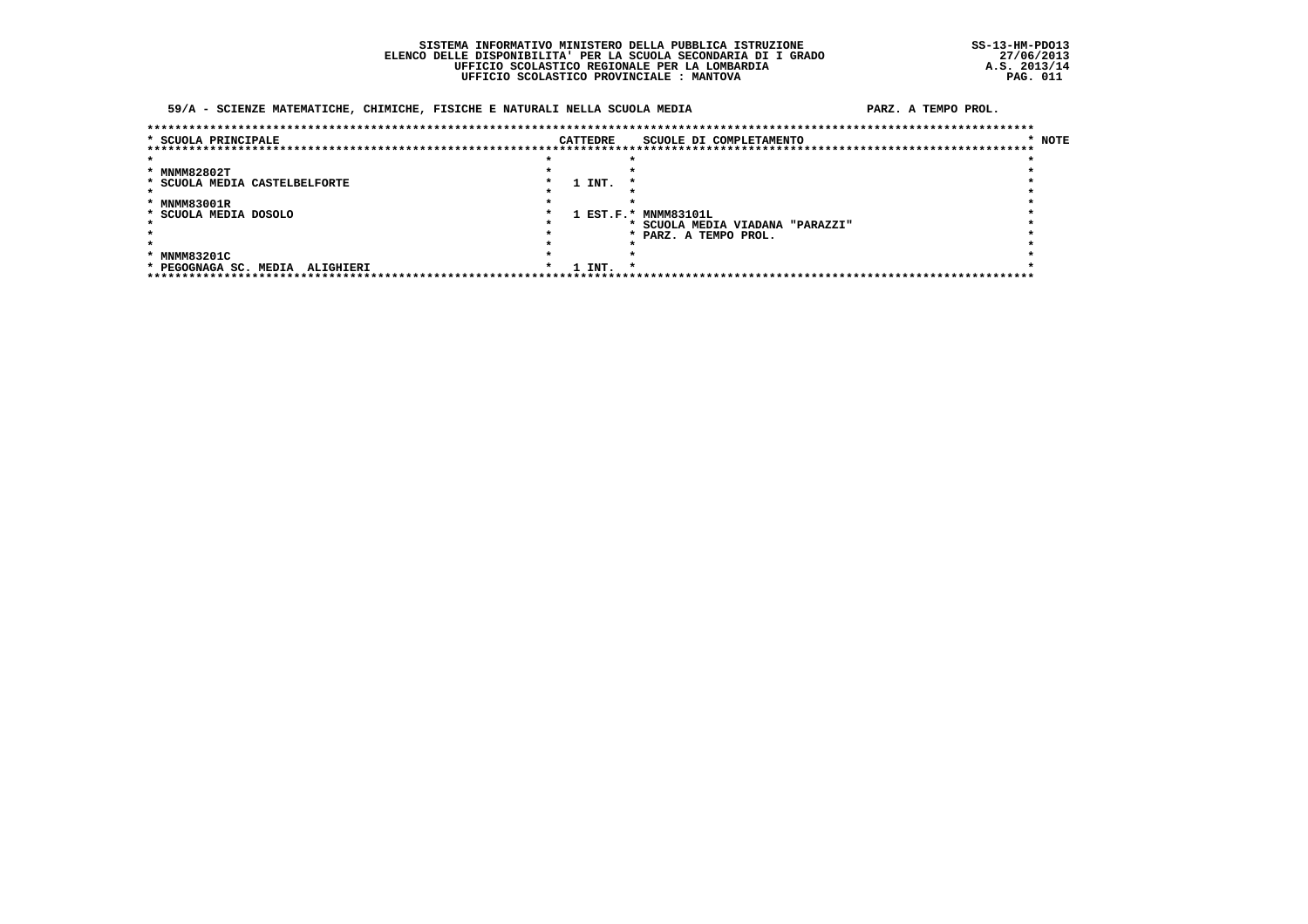### SISTEMA INFORMATIVO MINISTERO DELLA PUBBLICA ISTRUZIONE ELENCO DELLE DISPONIBILITA' PER LA SCUOLA SECONDARIA DI I GRADO<br>UFFICIO SCOLASTICO REGIONALE PER LA LOMBARDIA UFFICIO SCOLASTICO PROVINCIALE : MANTOVA

### 59/A - SCIENZE MATEMATICHE, CHIMICHE, FISICHE E NATURALI NELLA SCUOLA MEDIA

| * SCUOLA PRINCIPALE              |  | CATTEDRE | SCUOLE DI COMPLETAMENTO        | * NOTE |
|----------------------------------|--|----------|--------------------------------|--------|
|                                  |  |          |                                |        |
|                                  |  |          |                                |        |
| * MNMM82802T                     |  |          |                                |        |
| * SCUOLA MEDIA CASTELBELFORTE    |  | 1 INT.   |                                |        |
|                                  |  |          |                                |        |
| * MNMM83001R                     |  |          |                                |        |
| * SCUOLA MEDIA DOSOLO            |  |          | 1 EST.F.* MNMM83101L           |        |
|                                  |  |          | SCUOLA MEDIA VIADANA "PARAZZI" |        |
|                                  |  |          | * PARZ. A TEMPO PROL.          |        |
|                                  |  |          |                                |        |
| * MNMM83201C                     |  |          |                                |        |
| PEGOGNAGA SC. MEDIA<br>ALIGHIERI |  | 1 INT.   | $\cdot$                        |        |
|                                  |  |          |                                |        |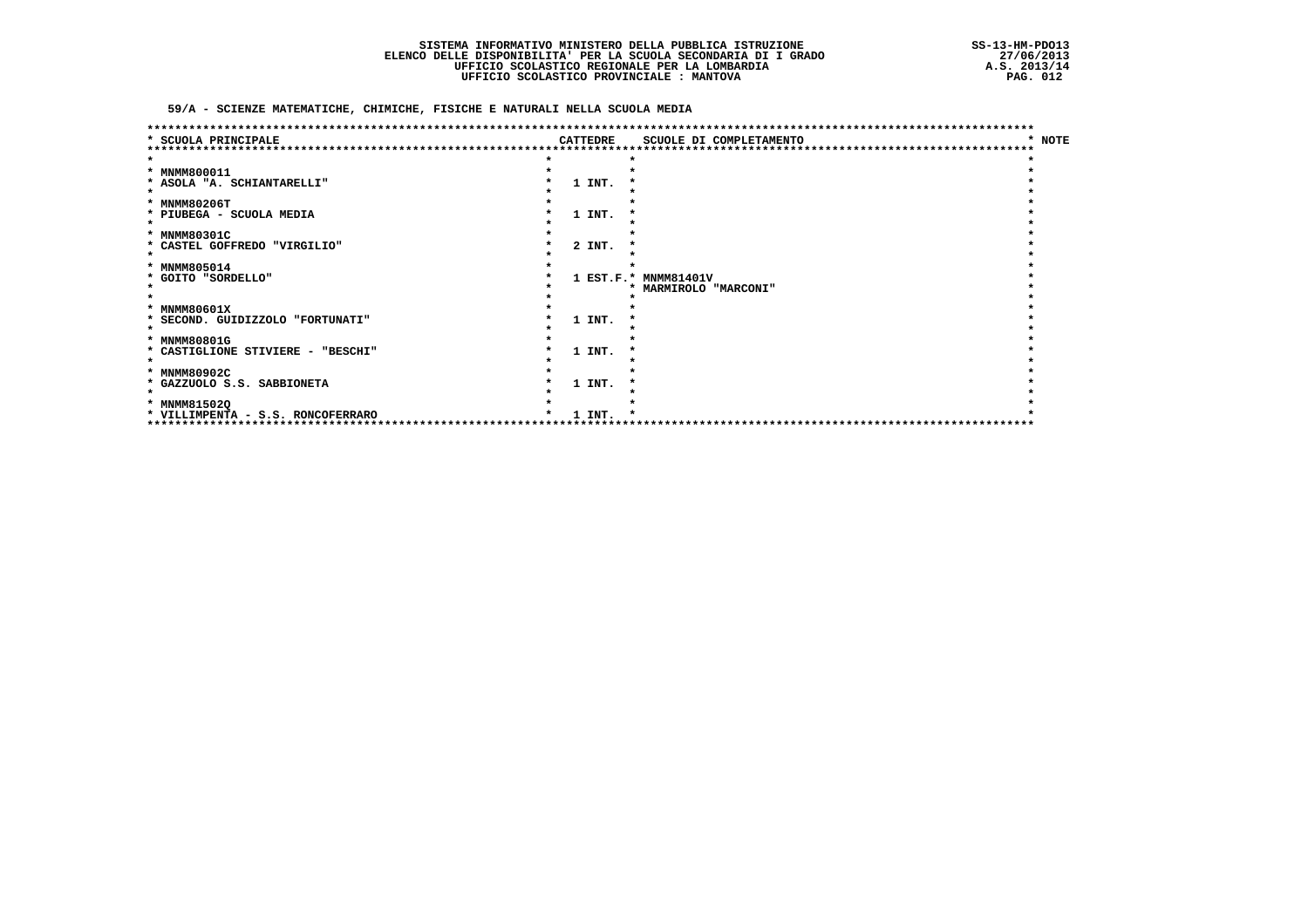59/A - SCIENZE MATEMATICHE, CHIMICHE, FISICHE E NATURALI NELLA SCUOLA MEDIA

| SCUOLA PRINCIPALE                                         | <b>CATTEDRE</b> | SCUOLE DI COMPLETAMENTO         | <b>NOTE</b><br>* |
|-----------------------------------------------------------|-----------------|---------------------------------|------------------|
|                                                           |                 |                                 |                  |
| * MNMM800011                                              |                 |                                 |                  |
| * ASOLA "A. SCHIANTARELLI"                                | 1 INT.          |                                 |                  |
|                                                           |                 |                                 |                  |
| * MNMM80206T                                              |                 |                                 |                  |
| * PIUBEGA - SCUOLA MEDIA                                  | 1 INT.          |                                 |                  |
| * MNMM80301C                                              |                 |                                 |                  |
| * CASTEL GOFFREDO "VIRGILIO"                              | 2 INT.          |                                 |                  |
|                                                           |                 |                                 |                  |
| * MNMM805014                                              |                 |                                 |                  |
| * GOITO "SORDELLO"                                        |                 | 1 EST.F.* MNMM81401V            |                  |
|                                                           |                 | <b>MARMIROLO "MARCONI"</b><br>* |                  |
|                                                           |                 |                                 |                  |
| <b>MNMM80601X</b><br>*                                    |                 |                                 |                  |
| SECOND. GUIDIZZOLO "FORTUNATI"<br>*                       | 1 INT.          |                                 |                  |
| <b>MNMM80801G</b><br>*                                    |                 |                                 |                  |
| * CASTIGLIONE STIVIERE - "BESCHI"                         | 1 INT.          |                                 |                  |
|                                                           |                 |                                 |                  |
| * MNMM80902C                                              |                 |                                 |                  |
| * GAZZUOLO S.S. SABBIONETA                                | 1 INT.          |                                 |                  |
|                                                           |                 |                                 |                  |
| * MNMM815020                                              |                 |                                 |                  |
| * VILLIMPENTA - S.S. RONCOFERRARO<br>******************** | 1 INT.          |                                 |                  |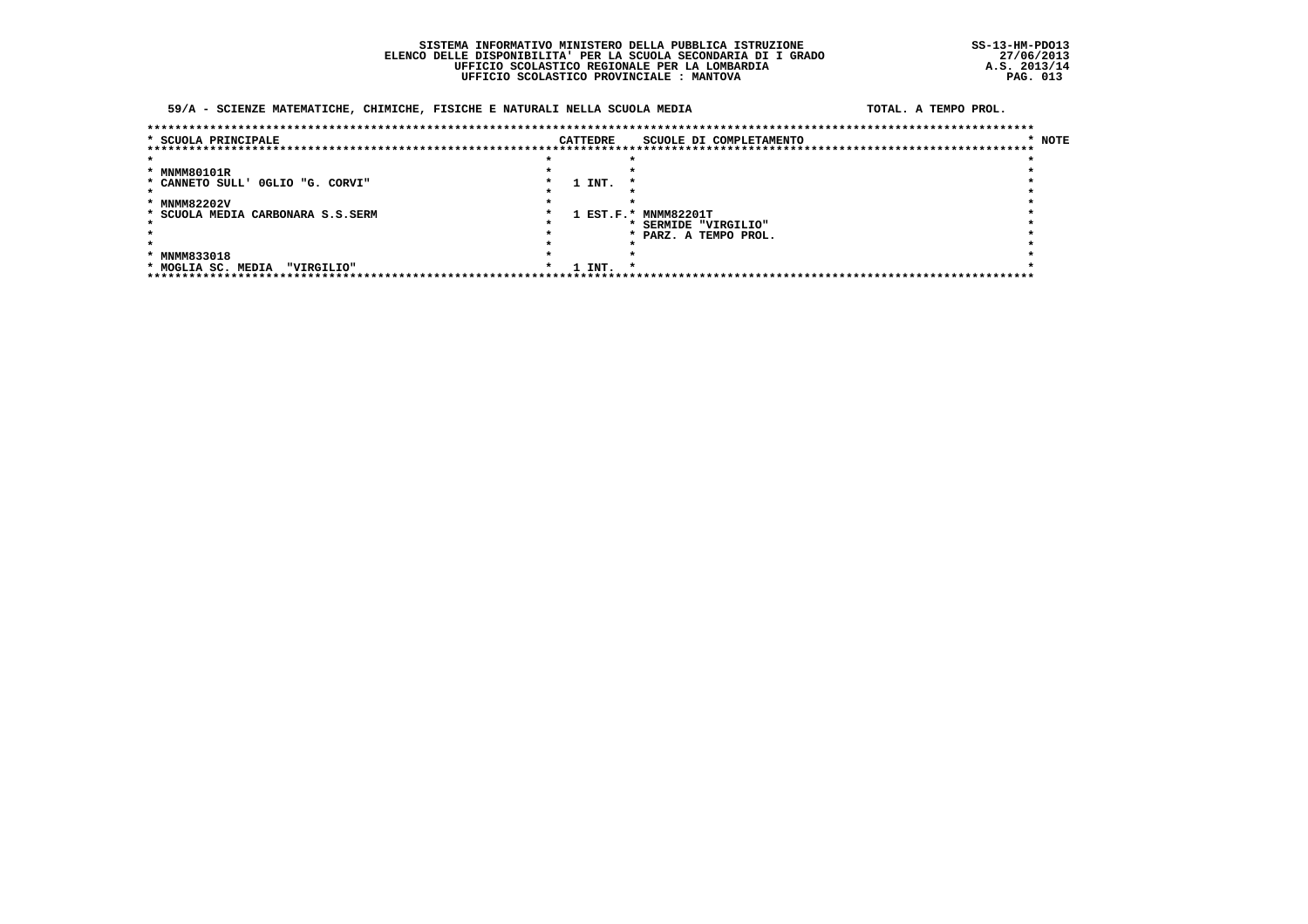### SISTEMA INFORMATIVO MINISTERO DELLA PUBBLICA ISTRUZIONE ELENCO DELLE DISPONIBILITA' PER LA SCUOLA SECONDARIA DI I GRADO<br>UFFICIO SCOLASTICO REGIONALE PER LA LOMBARDIA UFFICIO SCOLASTICO PROVINCIALE : MANTOVA

### 59/A - SCIENZE MATEMATICHE, CHIMICHE, FISICHE E NATURALI NELLA SCUOLA MEDIA

#### TOTAL, A TEMPO PROL.

| * SCUOLA PRINCIPALE               | CATTEDRE |        | SCUOLE DI COMPLETAMENTO | * NOTE |
|-----------------------------------|----------|--------|-------------------------|--------|
|                                   |          |        |                         |        |
|                                   |          |        |                         |        |
| * MNMM80101R                      |          |        |                         |        |
| * CANNETO SULL' OGLIO "G. CORVI"  |          | 1 INT. |                         |        |
|                                   |          |        |                         |        |
| * MNMM82202V                      |          |        |                         |        |
| * SCUOLA MEDIA CARBONARA S.S.SERM |          |        | 1 EST.F.* MNMM82201T    |        |
|                                   |          |        | * SERMIDE "VIRGILIO"    |        |
|                                   |          |        | * PARZ. A TEMPO PROL.   |        |
|                                   |          |        |                         |        |
| * MNMM833018                      |          |        |                         |        |
| * MOGLIA SC. MEDIA<br>"VIRGILIO"  |          | 1 INT. | $\cdot$                 |        |
|                                   |          |        |                         |        |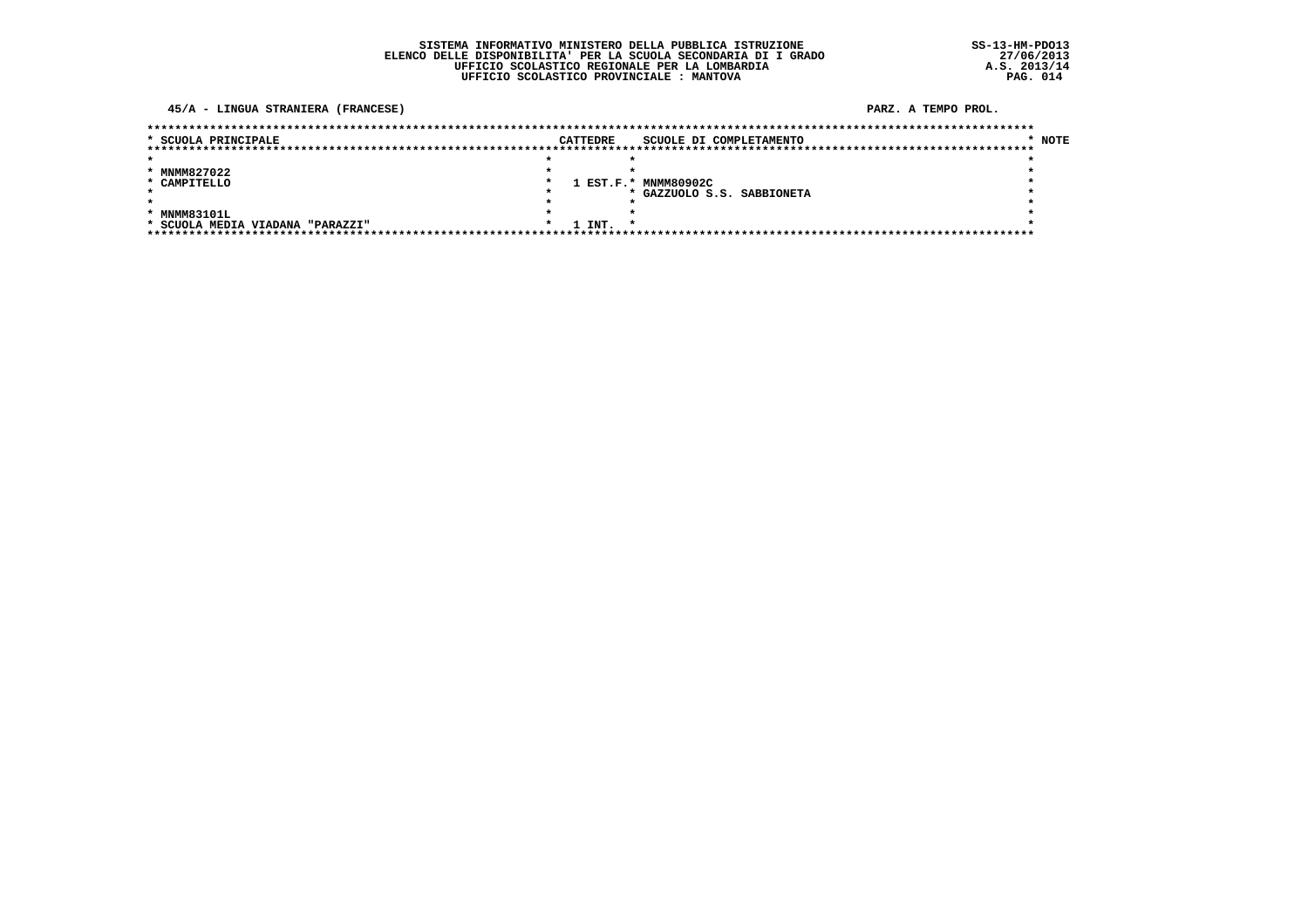### 45/A - LINGUA STRANIERA (FRANCESE)

| * SCUOLA PRINCIPALE              | <b>CATTEDRE</b>   | SCUOLE DI COMPLETAMENTO    | * NOTE |
|----------------------------------|-------------------|----------------------------|--------|
|                                  |                   |                            |        |
|                                  |                   |                            |        |
| * MNMM827022                     |                   |                            |        |
| * CAMPITELLO                     |                   | 1 EST.F.* MNMM80902C       |        |
|                                  |                   | * GAZZUOLO S.S. SABBIONETA |        |
|                                  |                   |                            |        |
| * MNMM83101L                     |                   |                            |        |
| * SCUOLA MEDIA VIADANA "PARAZZI" | 1 INT.<br>$\cdot$ |                            |        |
|                                  |                   |                            |        |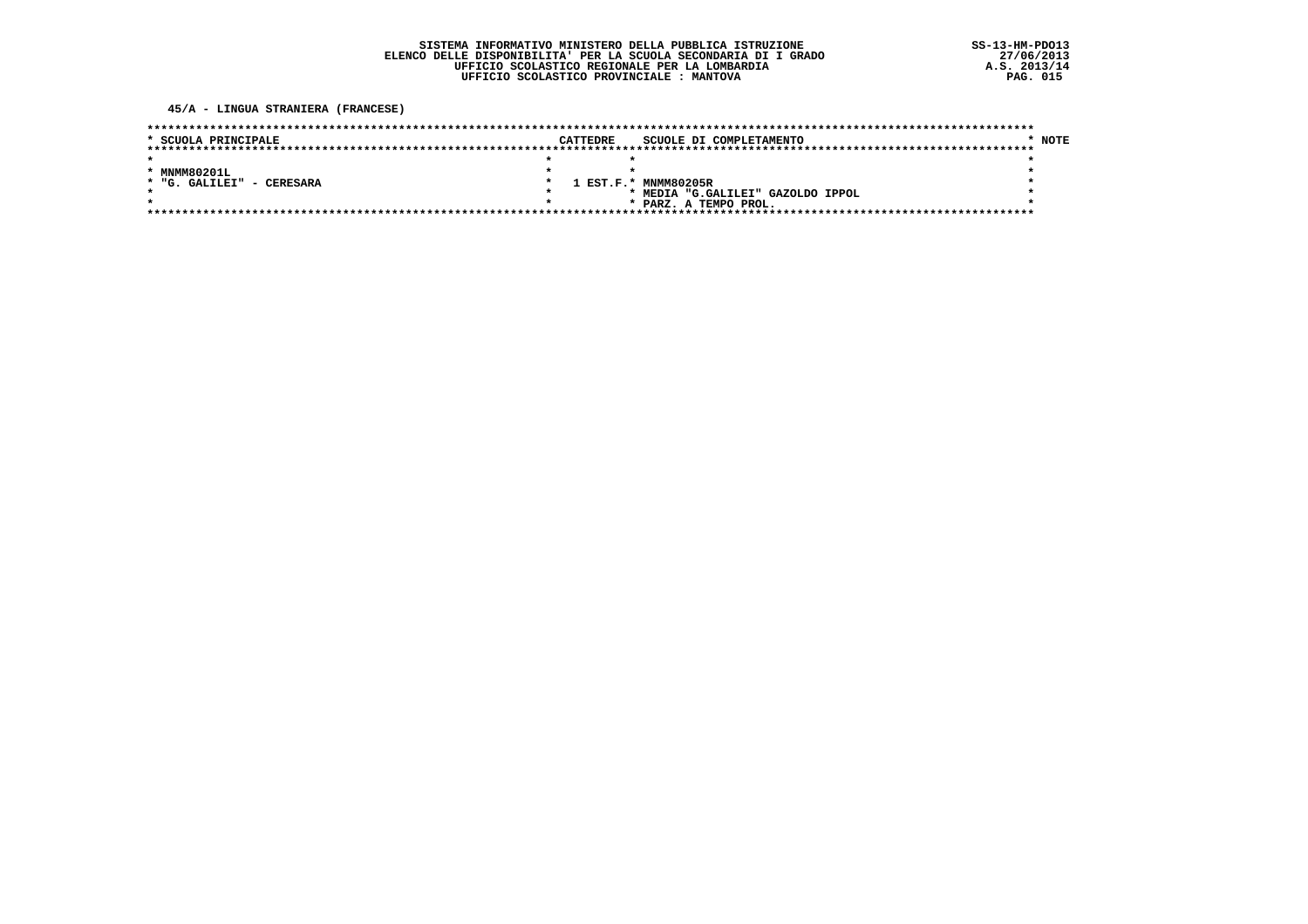45/A - LINGUA STRANIERA (FRANCESE)

| * SCUOLA PRINCIPALE       | <b>CATTEDRE</b> | SCUOLE DI COMPLETAMENTO           | NOTE |  |
|---------------------------|-----------------|-----------------------------------|------|--|
|                           |                 |                                   |      |  |
|                           |                 |                                   |      |  |
| * MNMM80201L              |                 |                                   |      |  |
| * "G. GALILEI" - CERESARA |                 | 1 EST.F.* MNMM80205R              |      |  |
|                           |                 | * MEDIA "G.GALILEI" GAZOLDO IPPOL |      |  |
| $\star$                   |                 | * PARZ. A TEMPO PROL.             |      |  |
|                           |                 |                                   |      |  |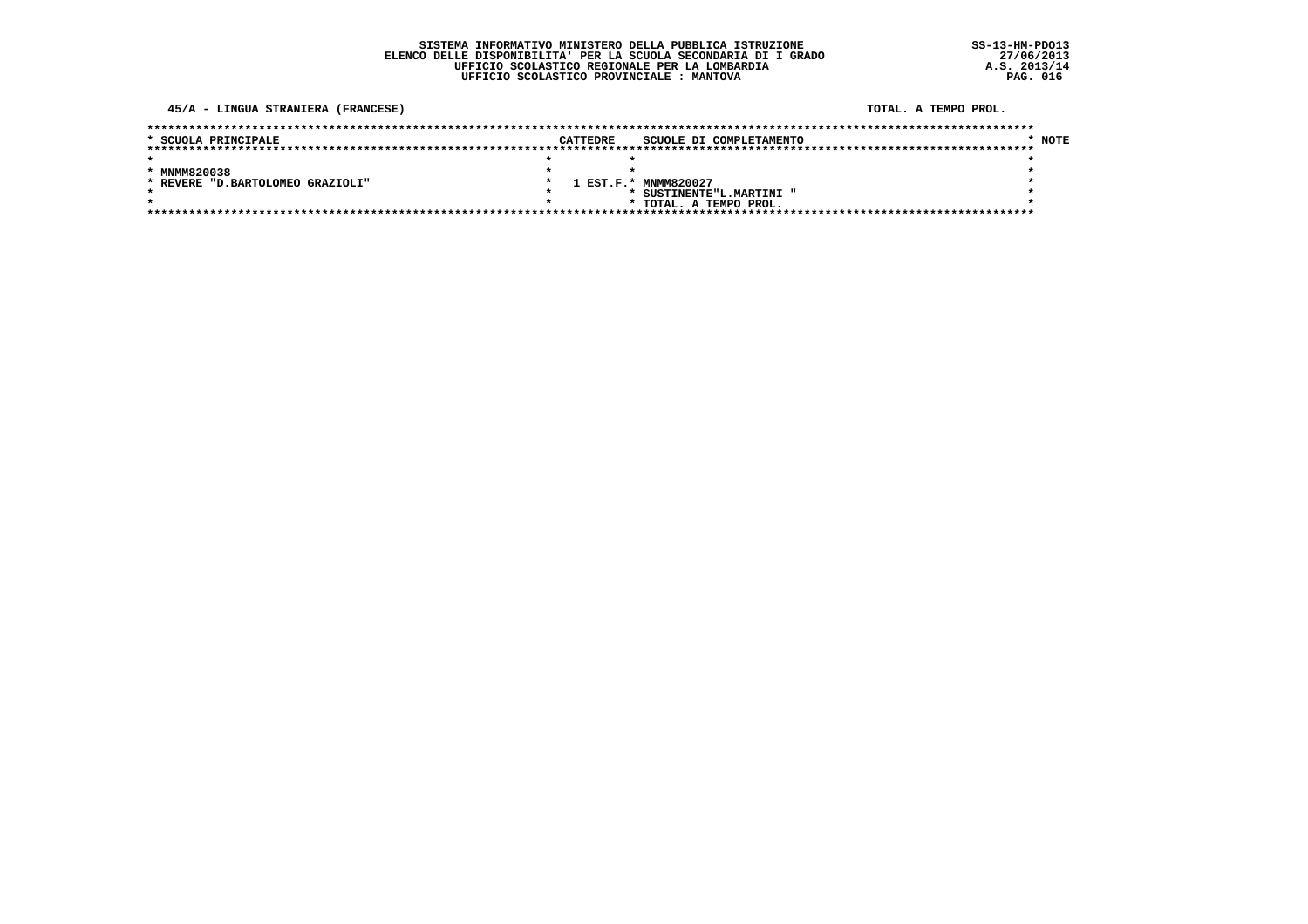### 45/A - LINGUA STRANIERA (FRANCESE)

### TOTAL. A TEMPO PROL.

| * SCUOLA PRINCIPALE               | CATTEDRE | SCUOLE DI COMPLETAMENTO  | * NOTE |
|-----------------------------------|----------|--------------------------|--------|
|                                   |          |                          |        |
|                                   |          |                          |        |
| * MNMM820038                      |          |                          |        |
| * REVERE "D. BARTOLOMEO GRAZIOLI" |          | 1 EST.F.* MNMM820027     |        |
|                                   |          | * SUSTINENTE"L.MARTINI " |        |
|                                   |          | * TOTAL. A TEMPO PROL.   |        |
|                                   |          |                          |        |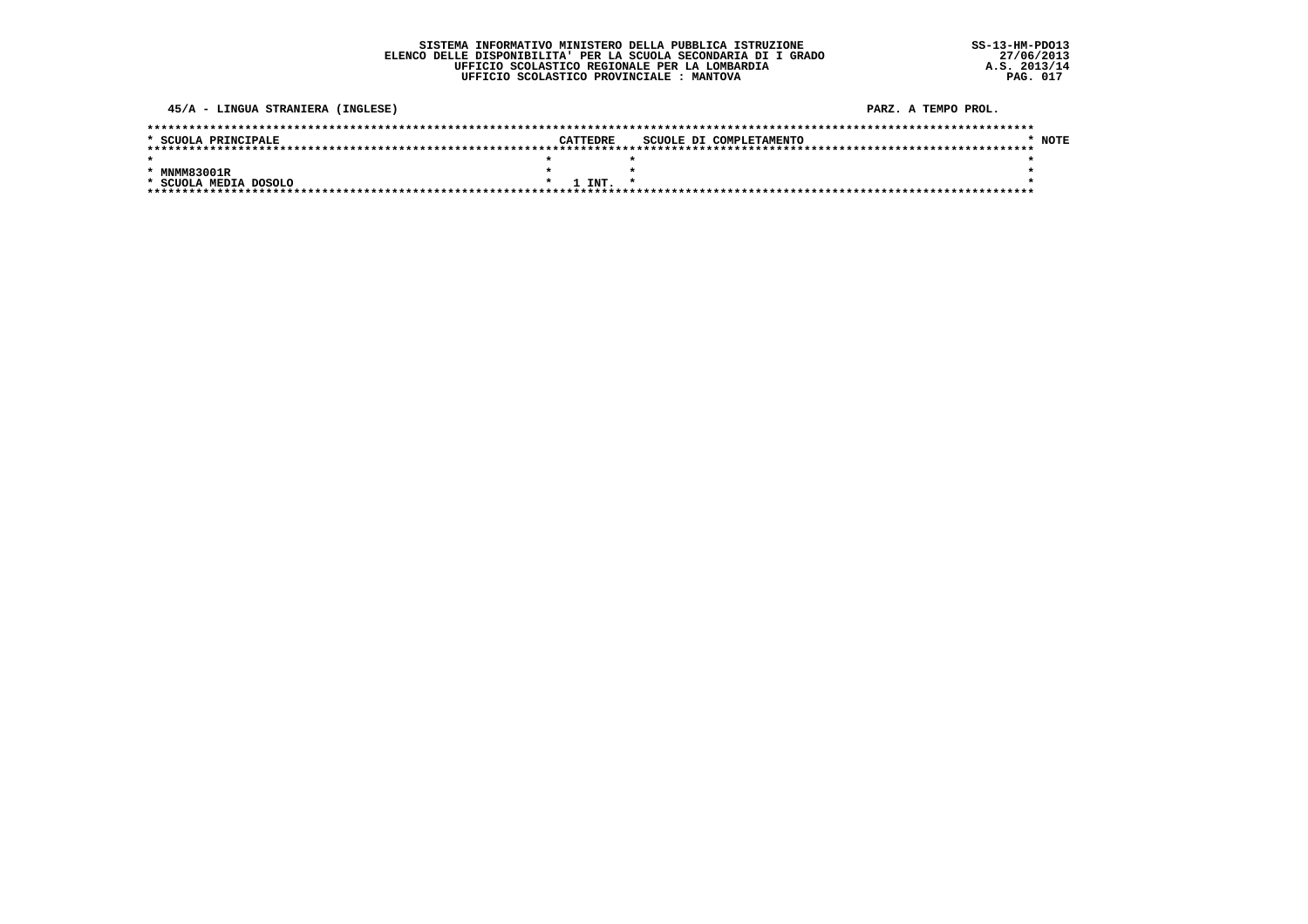$SS-13-HM-PDO13$  $27/06/2013$ <br>A.S.  $2013/14$ <br>PAG. 017

### 45/A - LINGUA STRANIERA (INGLESE)

| * SCUOLA PRINCIPALE   |  | CATTEDRE    | SCUOLE DI COMPLETAMENTO |  |  |  | <b>NOTE</b> |
|-----------------------|--|-------------|-------------------------|--|--|--|-------------|
|                       |  |             |                         |  |  |  |             |
|                       |  |             |                         |  |  |  |             |
| * MNMM83001R          |  |             |                         |  |  |  |             |
| * SCUOLA MEDIA DOSOLO |  | $1$ TNT $*$ |                         |  |  |  |             |
|                       |  |             |                         |  |  |  |             |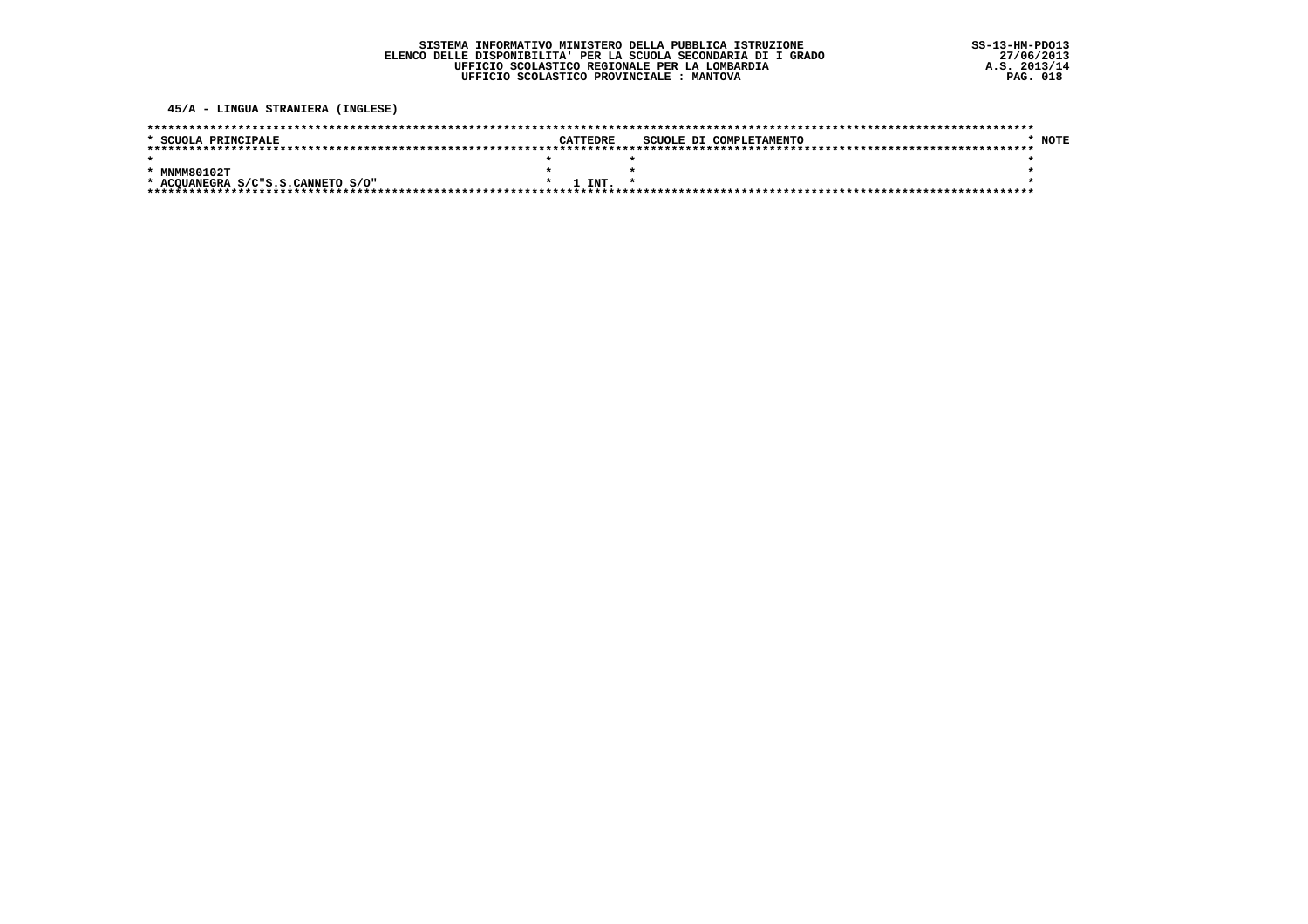45/A - LINGUA STRANIERA (INGLESE)

| * SCUOLA PRINCIPALE               |  | CATTEDRE    | SCUOLE DI COMPLETAMENTO |  |  | <b>NOTE</b> |
|-----------------------------------|--|-------------|-------------------------|--|--|-------------|
|                                   |  |             |                         |  |  |             |
|                                   |  |             |                         |  |  |             |
| * MNMM80102T                      |  |             |                         |  |  |             |
| * ACOUANEGRA S/C"S.S.CANNETO S/O" |  | $1$ TNT $*$ |                         |  |  |             |
|                                   |  |             |                         |  |  |             |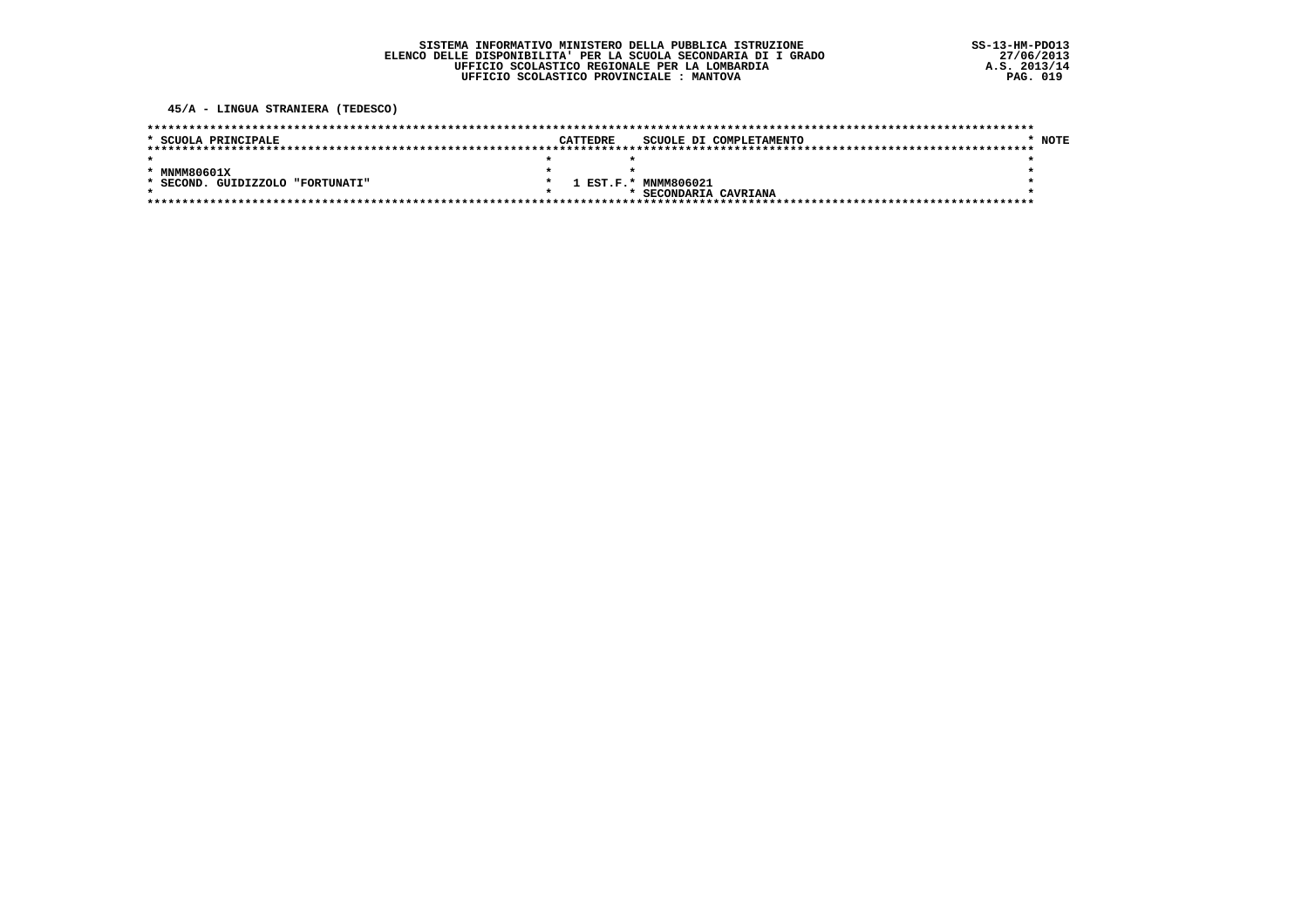45/A - LINGUA STRANIERA (TEDESCO)

| * SCUOLA PRINCIPALE                     | <b>CATTEDRE</b> |                      | SCUOLE DI COMPLETAMENTO | <b>NOTE</b> |
|-----------------------------------------|-----------------|----------------------|-------------------------|-------------|
|                                         |                 |                      |                         |             |
|                                         |                 |                      |                         |             |
| * MNMM80601X                            |                 |                      |                         |             |
| . GUIDIZZOLO "FORTUNATI"<br>$*$ SECOND. |                 | 1 EST.F.* MNMM806021 |                         |             |
|                                         |                 | SECONDARIA CAVRIANA  |                         |             |
|                                         |                 |                      |                         |             |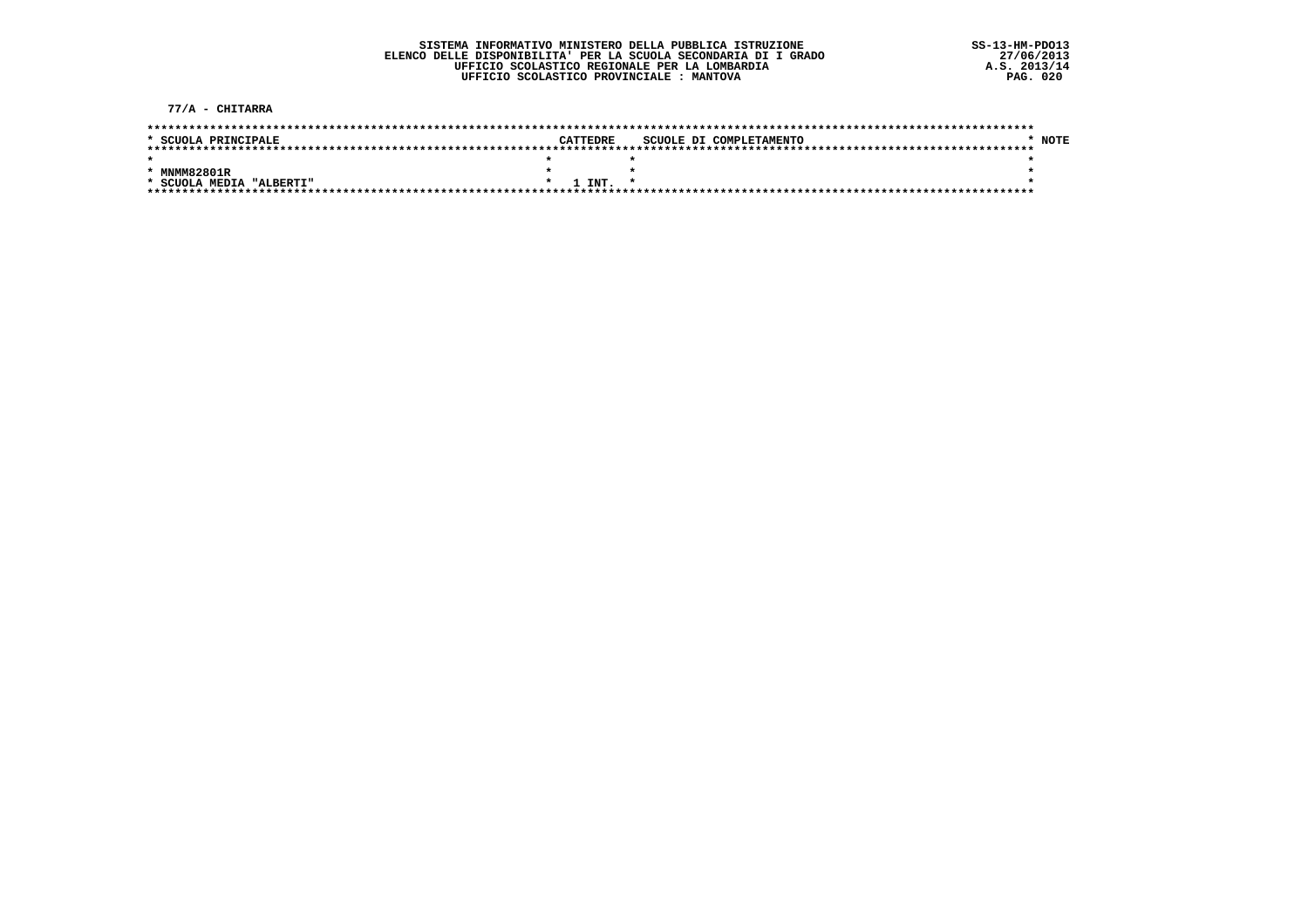77/A - CHITARRA

| * SCUOLA PRINCIPALE      |  | CATTEDRE |  |  | SCUOLE DI COMPLETAMENTO |  | <b>NOTE</b> |  |
|--------------------------|--|----------|--|--|-------------------------|--|-------------|--|
|                          |  |          |  |  |                         |  |             |  |
|                          |  |          |  |  |                         |  |             |  |
| * MNMM82801R             |  |          |  |  |                         |  |             |  |
| * SCUOLA MEDIA "ALBERTI" |  | 1 INT.   |  |  |                         |  |             |  |
|                          |  |          |  |  |                         |  |             |  |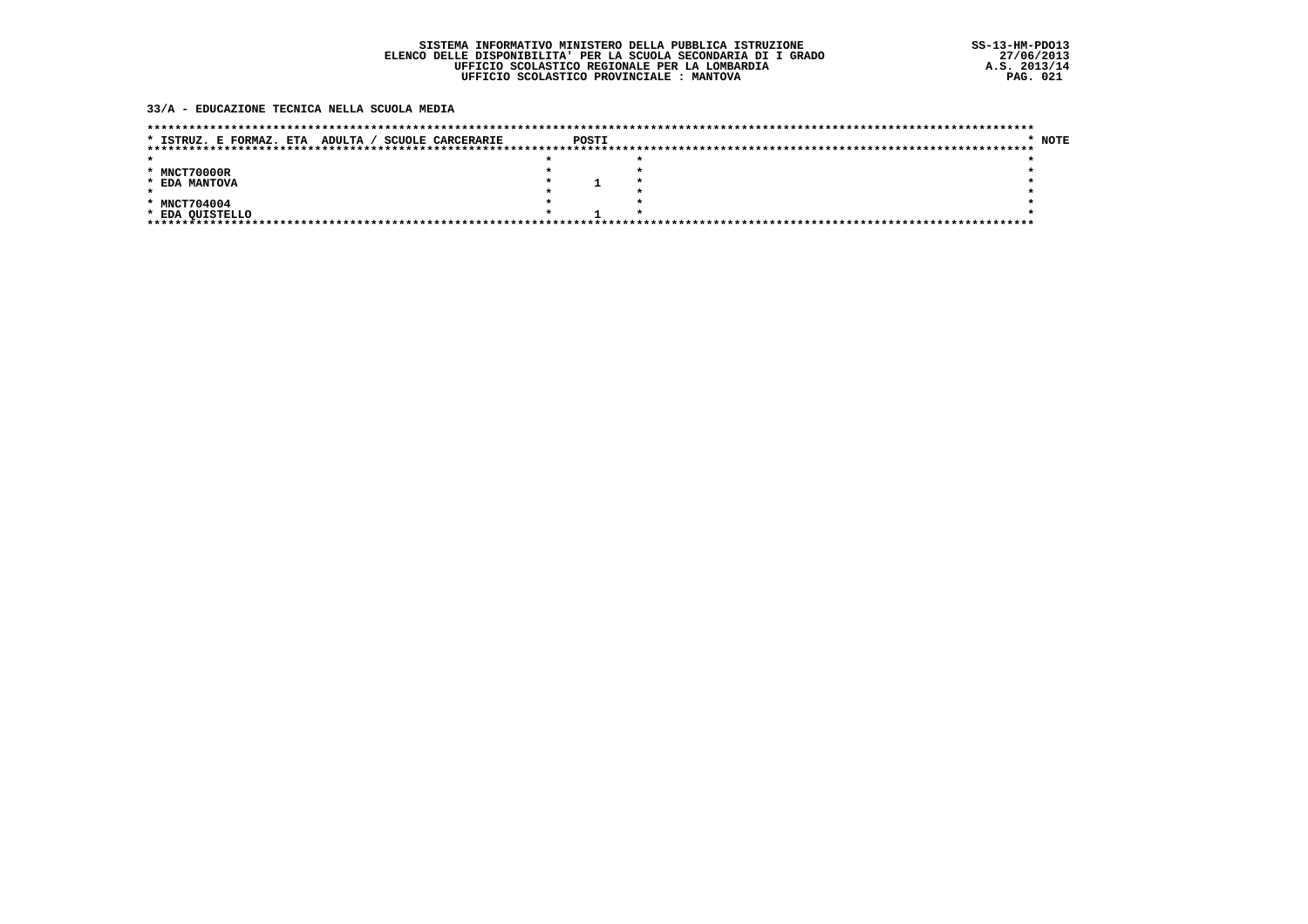### 33/A - EDUCAZIONE TECNICA NELLA SCUOLA MEDIA

| ADULTA /<br><b>SCUOLE CARCERARIE</b><br>* ISTRUZ. E FORMAZ. ETA | POSTI |  | * NOTE |
|-----------------------------------------------------------------|-------|--|--------|
|                                                                 |       |  |        |
|                                                                 |       |  |        |
| * MNCT70000R                                                    |       |  |        |
| * EDA MANTOVA                                                   |       |  |        |
|                                                                 |       |  |        |
| * MNCT704004                                                    |       |  |        |
| * EDA QUISTELLO                                                 |       |  |        |
| *******************************                                 |       |  |        |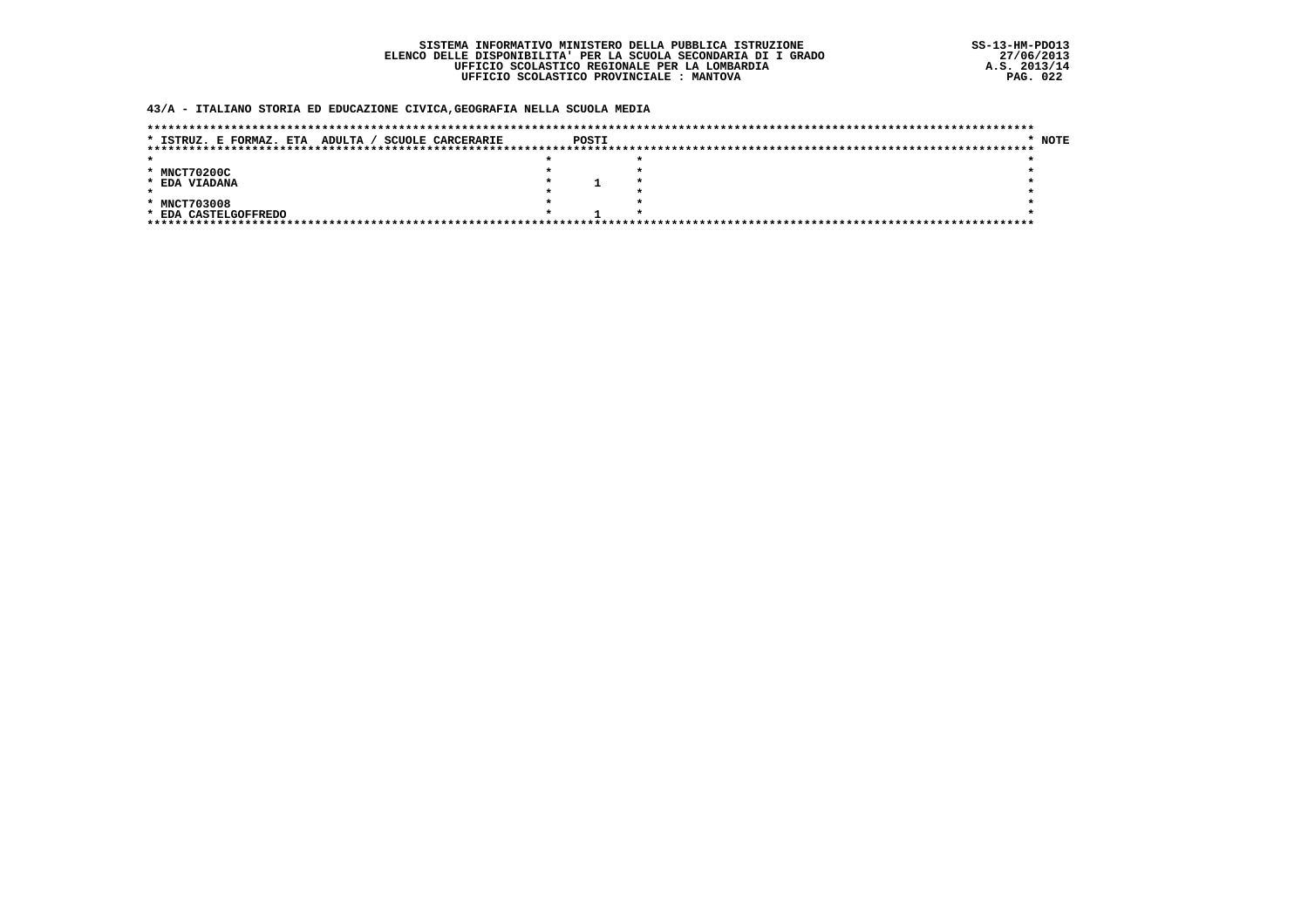### 43/A - ITALIANO STORIA ED EDUCAZIONE CIVICA, GEOGRAFIA NELLA SCUOLA MEDIA

| ADULTA /<br><b>SCUOLE CARCERARIE</b><br>* ISTRUZ. E FORMAZ. ETA | POSTI |  | * NOTE |
|-----------------------------------------------------------------|-------|--|--------|
|                                                                 |       |  |        |
|                                                                 |       |  |        |
| * MNCT70200C                                                    |       |  |        |
| * EDA VIADANA                                                   |       |  |        |
|                                                                 |       |  |        |
| * MNCT703008                                                    |       |  |        |
| * EDA CASTELGOFFREDO                                            |       |  |        |
|                                                                 |       |  |        |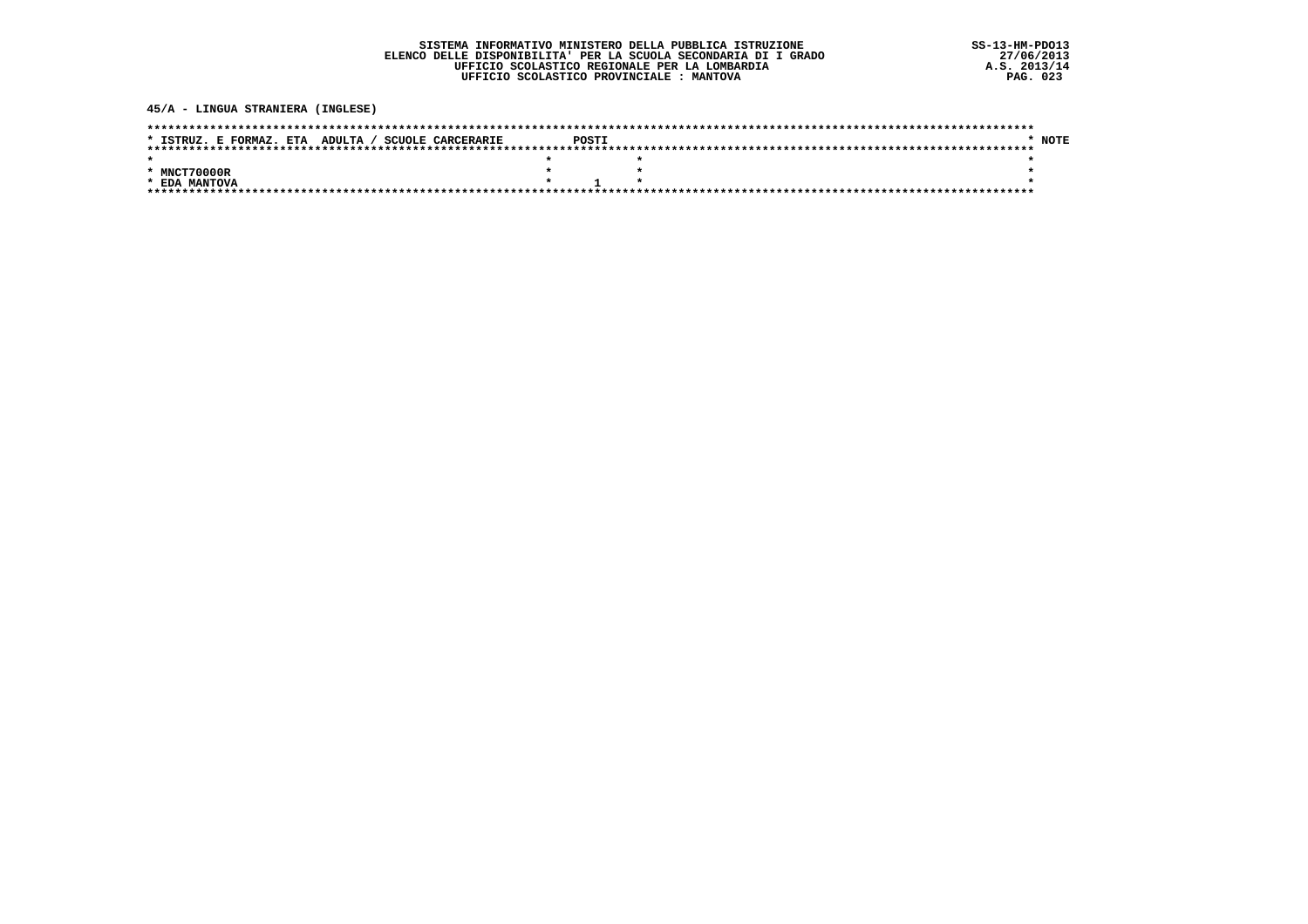45/A - LINGUA STRANIERA (INGLESE)

| * ISTRUZ. E FORMAZ. ETA ADULTA / SCUOLE CARCERARIE | POSTI |  | * NOTE |
|----------------------------------------------------|-------|--|--------|
|                                                    |       |  |        |
|                                                    |       |  |        |
| * MNCT70000R                                       |       |  |        |
| * EDA MANTOVA                                      |       |  |        |
|                                                    |       |  |        |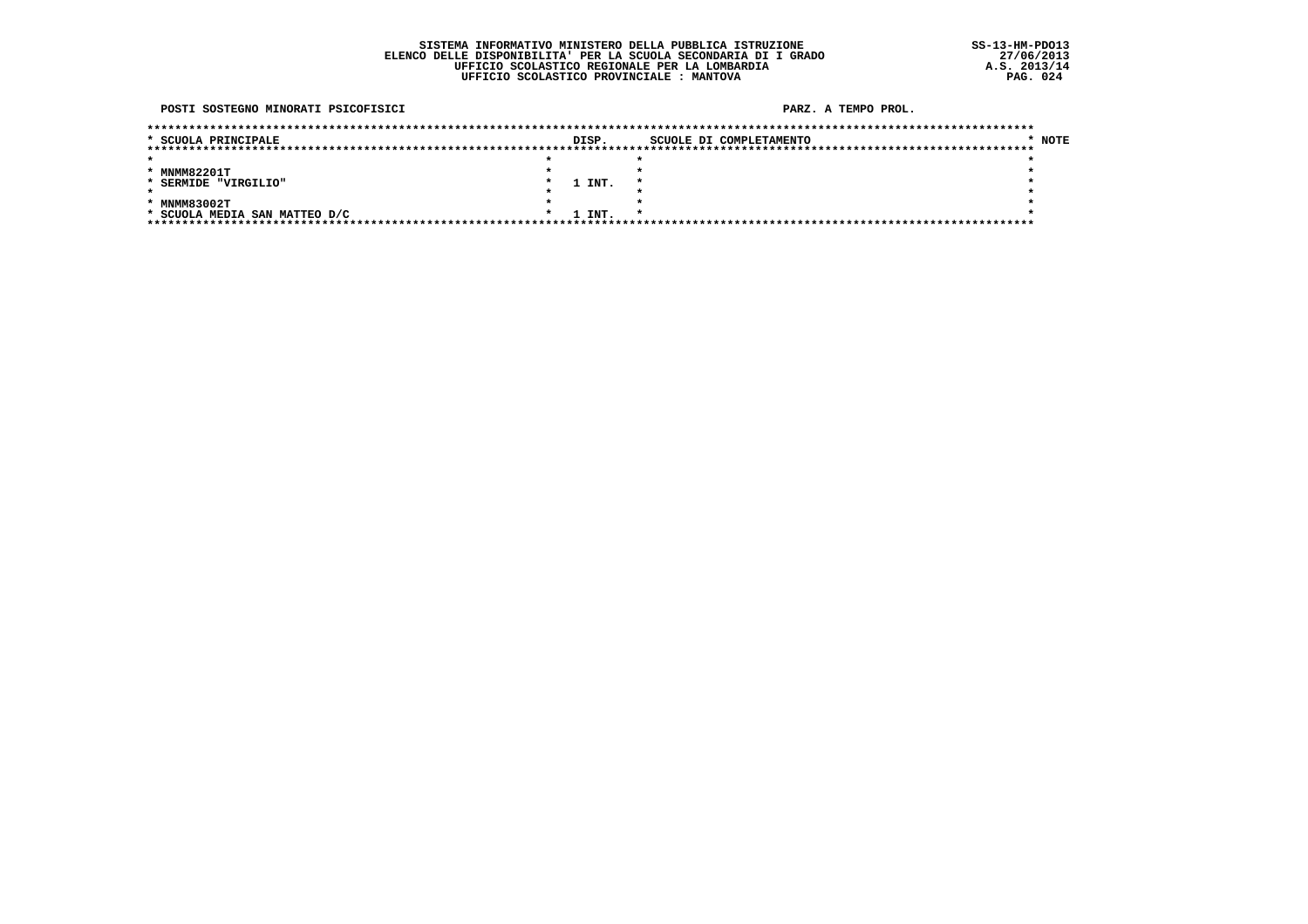#### POSTI SOSTEGNO MINORATI PSICOFISICI

| * SCUOLA PRINCIPALE           | DISP.  | SCUOLE DI COMPLETAMENTO | <b>NOTE</b> |
|-------------------------------|--------|-------------------------|-------------|
|                               |        |                         |             |
|                               |        |                         |             |
| * MNMM82201T                  |        |                         |             |
| * SERMIDE "VIRGILIO"          | 1 INT. |                         |             |
|                               |        |                         |             |
| * MNMM83002T                  |        |                         |             |
| * SCUOLA MEDIA SAN MATTEO D/C | 1 INT. |                         |             |
|                               |        |                         |             |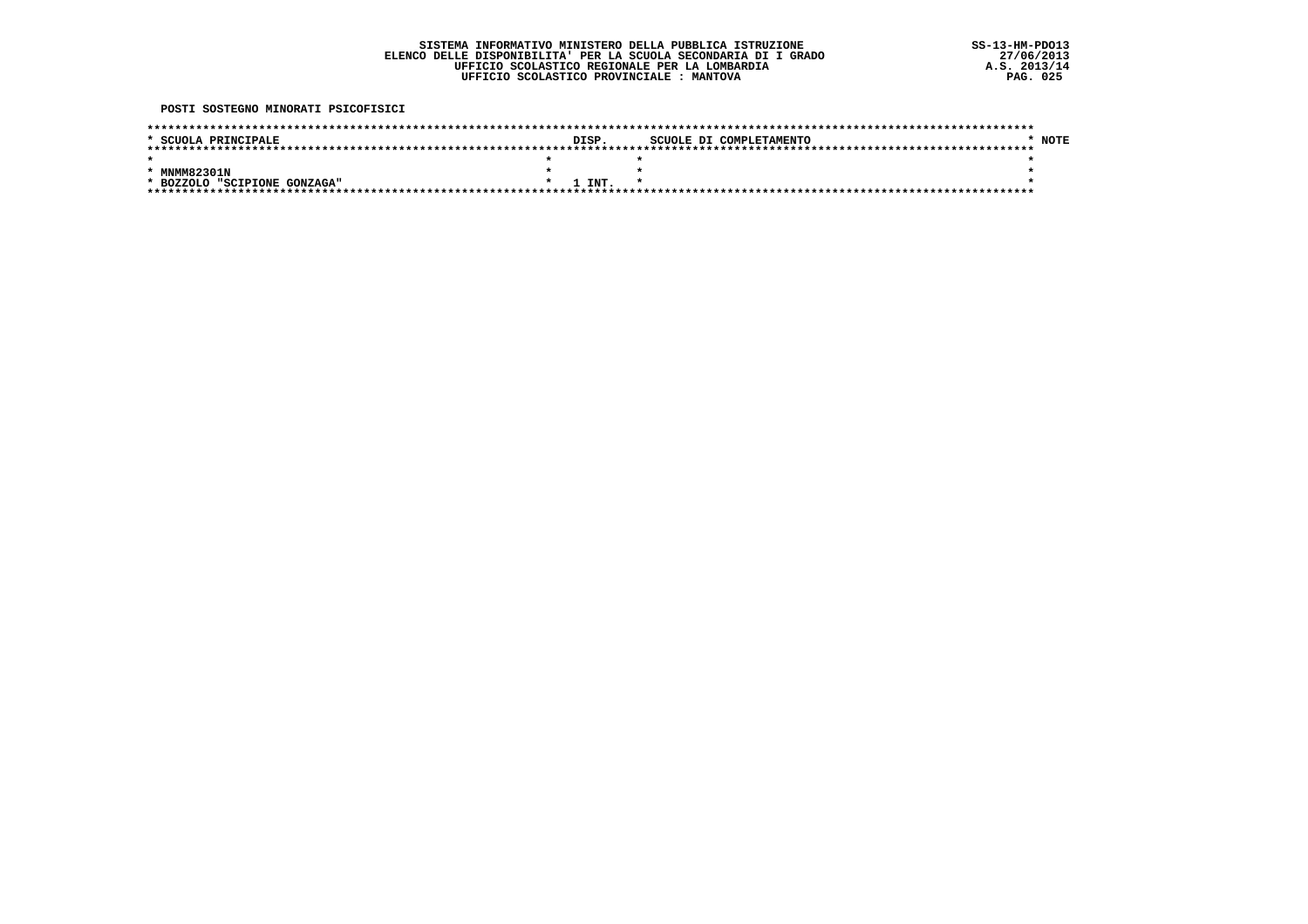POSTI SOSTEGNO MINORATI PSICOFISICI

| * SCUOLA PRINCIPALE          |  | DISP.  |  | SCUOLE DI COMPLETAMENTO | <b>NOTE</b> |
|------------------------------|--|--------|--|-------------------------|-------------|
|                              |  |        |  |                         |             |
|                              |  |        |  |                         |             |
|                              |  |        |  |                         |             |
| * MNMM82301N                 |  |        |  |                         |             |
|                              |  |        |  |                         |             |
| * BOZZOLO "SCIPIONE GONZAGA" |  | 1 INT. |  |                         |             |
|                              |  |        |  |                         |             |